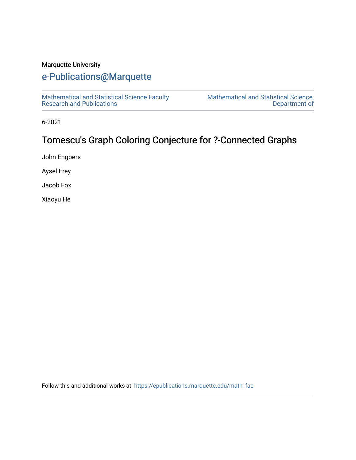# Marquette University

# [e-Publications@Marquette](https://epublications.marquette.edu/)

[Mathematical and Statistical Science Faculty](https://epublications.marquette.edu/math_fac)  [Research and Publications](https://epublications.marquette.edu/math_fac) 

[Mathematical and Statistical Science,](https://epublications.marquette.edu/math)  [Department of](https://epublications.marquette.edu/math) 

6-2021

# Tomescu's Graph Coloring Conjecture for ?-Connected Graphs

John Engbers

Aysel Erey

Jacob Fox

Xiaoyu He

Follow this and additional works at: [https://epublications.marquette.edu/math\\_fac](https://epublications.marquette.edu/math_fac?utm_source=epublications.marquette.edu%2Fmath_fac%2F82&utm_medium=PDF&utm_campaign=PDFCoverPages)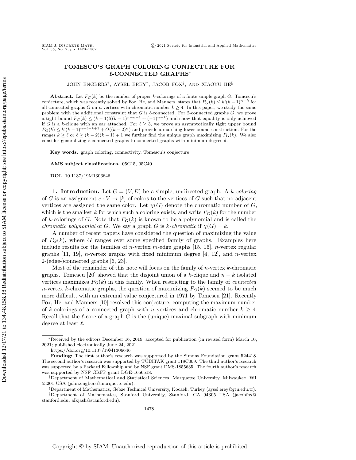## TOMESCU'S GRAPH COLORING CONJECTURE FOR  $\ell$ -CONNECTED GRAPHS<sup>\*</sup>

JOHN ENGBERS<sup>†</sup>, AYSEL EREY<sup>‡</sup>, JACOB FOX<sup>§</sup>, AND XIAOYU HE<sup>§</sup>

Abstract. Let  $P_G(k)$  be the number of proper k-colorings of a finite simple graph G. Tomescu's conjecture, which was recently solved by Fox, He, and Manners, states that  $P_G(k) \leq k!(k - 1)^{n - k}$  for all connected graphs G on n vertices with chromatic number  $k \geq 4$ . In this paper, we study the same problem with the additional constraint that  $G$  is  $\ell$ -connected. For 2-connected graphs  $G$ , we prove a tight bound  $P_G(k) \leq (k - 1)!((k - 1)^{n - k} + (-1)^{n - k})$  and show that equality is only achieved if G is a k-clique with an ear attached. For  $\ell \geq 3$ , we prove an asymptotically tight upper bound  $P_G(k) \leq k! (k - 1)^{n - \ell - k + 1} + O((k - 2)^n)$  and provide a matching lower bound construction. For the ranges  $k \geq \ell$  or  $\ell \geq (k - 2)(k - 1) + 1$  we further find the unique graph maximizing  $P_G(k)$ . We also consider generalizing  $\ell$ -connected graphs to connected graphs with minimum degree  $\delta$ .

Key words. graph coloring, connectivity, Tomescu's conjecture

AMS subject classifications. 05C15, 05C40

DOI. 10.1137/19M1306646

1. Introduction. Let  $G = (V, E)$  be a simple, undirected graph. A k-coloring of G is an assignment  $c : V \rightarrow [k]$  of colors to the vertices of G such that no adjacent vertices are assigned the same color. Let  $\chi(G)$  denote the chromatic number of G, which is the smallest k for which such a coloring exists, and write  $P_G(k)$  for the number of k-colorings of G. Note that  $P_G(k)$  is known to be a polynomial and is called the *chromatic polynomial* of G. We say a graph G is k-chromatic if  $\chi (G) = k$ .

A number of recent papers have considered the question of maximizing the value of  $P_G(k)$ , where G ranges over some specified family of graphs. Examples here include results for the families of *n*-vertex *m*-edge graphs [\[15,](#page-25-0) [16\]](#page-25-1), *n*-vertex regular graphs  $[11, 19]$  $[11, 19]$  $[11, 19]$ , *n*-vertex graphs with fixed minimum degree  $[4, 12]$  $[4, 12]$  $[4, 12]$ , and *n*-vertex 2-(edge-)connected graphs [\[6,](#page-25-6) [23\]](#page-25-7).

Most of the remainder of this note will focus on the family of  $n$ -vertex  $k$ -chromatic graphs. Tomescu [\[20\]](#page-25-8) showed that the disjoint union of a k-clique and  $n - k$  isolated vertices maximizes  $P_G(k)$  in this family. When restricting to the family of *connected* n-vertex k-chromatic graphs, the question of maximizing  $P_G(k)$  seemed to be much more difficult, with an extremal value conjectured in 1971 by Tomescu [\[21\]](#page-25-9). Recently Fox, He, and Manners [\[10\]](#page-25-10) resolved this conjecture, computing the maximum number of k-colorings of a connected graph with n vertices and chromatic number  $k \geq 4$ . Recall that the  $\ell$ -core of a graph G is the (unique) maximal subgraph with minimum degree at least  $\ell$ .

<span id="page-1-0"></span> $*$ Received by the editors December 16, 2019; accepted for publication (in revised form) March 10, 2021; published electronically June 24, 2021.

<https://doi.org/10.1137/19M1306646>

Funding: The first author's research was supported by the Simons Foundation grant 524418. The second author's research was supported by TUBITAK grant 118C009. The third author's research \" was supported by a Packard Fellowship and by NSF grant DMS-1855635. The fourth author's research was supported by NSF GRFP grant DGE-1656518.

<sup>&</sup>lt;sup>†</sup>Department of Mathematical and Statistical Sciences, Marquette University, Milwaukee, WI 53201 USA [\(john.engbers@marquette.edu\)](mailto:john.engbers@marquette.edu).

 $\ddot{\phi}$  Department of Mathematics, Gebze Technical University, Kocaeli, Turkey [\(aysel.erey@gtu.edu.tr\)](mailto:aysel.erey@gtu.edu.tr).

 $\S$ Department of Mathematics, Stanford University, Stanford, CA 94305 USA [\(jacobfox@](mailto:jacobfox@stanford.edu) [stanford.edu,](emailto:jacobfox@stanford.edu) [alkjash@stanford.edu\)](mailto:alkjash@stanford.edu).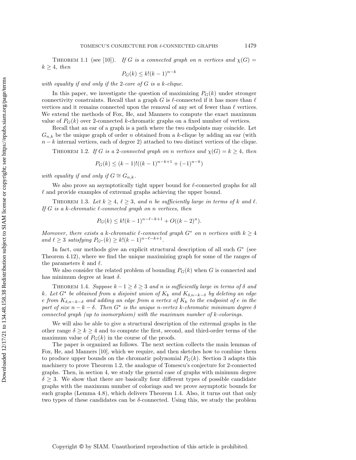THEOREM 1.1 (see [\[10\]](#page-25-10)). If G is a connected graph on n vertices and  $\chi (G)$  =  $k \geq 4$ , then

$$
P_G(k) \le k!(k-1)^{n-k}
$$

with equality if and only if the 2-core of  $G$  is a k-clique.

In this paper, we investigate the question of maximizing  $P_G(k)$  under stronger connectivity constraints. Recall that a graph G is  $\ell$ -connected if it has more than  $\ell$ vertices and it remains connected upon the removal of any set of fewer than  $\ell$  vertices. We extend the methods of Fox, He, and Manners to compute the exact maximum value of  $P_G(k)$  over 2-connected k-chromatic graphs on a fixed number of vertices.

Recall that an ear of a graph is a path where the two endpoints may coincide. Let  $G_{n,k}$  be the unique graph of order n obtained from a k-clique by adding an ear (with  $n - k$  internal vertices, each of degree 2) attached to two distinct vertices of the clique.

<span id="page-2-0"></span>THEOREM 1.2. If G is a 2-connected graph on n vertices and  $\chi (G) = k \geq 4$ , then

$$
P_G(k) \le (k-1)!((k-1)^{n-k+1} + (-1)^{n-k})
$$

with equality if and only if  $G \cong G_{n,k}$ .

We also prove an asymptotically tight upper bound for  $\ell$ -connected graphs for all  $\ell$  and provide examples of extremal graphs achieving the upper bound.

<span id="page-2-2"></span>THEOREM 1.3. Let  $k \geq 4$ ,  $\ell \geq 3$ , and n be sufficiently large in terms of k and  $\ell$ . If G is a k-chromatic  $\ell$ -connected graph on n vertices, then

$$
P_G(k) \le k!(k-1)^{n-\ell-k+1} + O((k-2)^n).
$$

Moreover, there exists a k-chromatic  $\ell$ -connected graph  $G^*$  on n vertices with  $k \geq 4$ and  $\ell \geq 3$  satisfying  $P_{G^*}(k) \geq k!(k - 1)^{n - \ell - k + 1}$ .

In fact, our methods give an explicit structural description of all such  $G^*$  (see Theorem [4.12\)](#page-21-0), where we find the unique maximizing graph for some of the ranges of the parameters k and  $\ell$ .

We also consider the related problem of bounding  $P_G(k)$  when G is connected and has minimum degree at least  $\delta$ .

<span id="page-2-1"></span>THEOREM 1.4. Suppose  $k - 1 \geq \delta \geq 3$  and n is sufficiently large in terms of  $\delta$  and k. Let  $G^*$  be obtained from a disjoint union of  $K_k$  and  $K_{\delta ,n - k - \delta}$  by deleting an edge e from  $K_{\delta ,n - k - \delta}$  and adding an edge from a vertex of  $K_k$  to the endpoint of e in the part of size  $n - k - \delta$ . Then  $G^*$  is the unique n-vertex k-chromatic minimum degree  $\delta$ connected graph (up to isomorphism) with the maximum number of k-colorings.

We will also be able to give a structural description of the extremal graphs in the other range  $\delta \geq k \geq 4$  and to compute the first, second, and third-order terms of the maximum value of  $P_G(k)$  in the course of the proofs.

The paper is organized as follows. The next section collects the main lemmas of Fox, He, and Manners [\[10\]](#page-25-10), which we require, and then sketches how to combine them to produce upper bounds on the chromatic polynomial  $P_G(k)$ . Section [3](#page-4-0) adapts this machinery to prove Theorem [1.2,](#page-2-0) the analogue of Tomescu's conjecture for 2-connected graphs. Then, in section [4,](#page-11-0) we study the general case of graphs with minimum degree  $\delta \geq 3$ . We show that there are basically four different types of possible candidate graphs with the maximum number of colorings and we prove asymptotic bounds for such graphs (Lemma [4.8\)](#page-17-0), which delivers Theorem [1.4.](#page-2-1) Also, it turns out that only two types of these candidates can be  $\delta$ -connected. Using this, we study the problem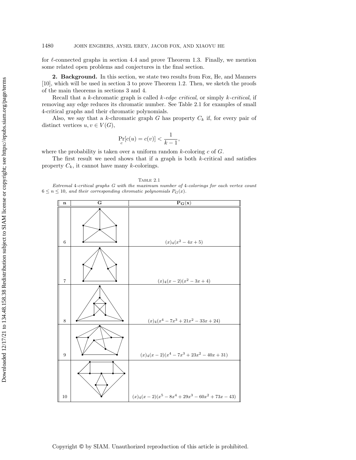for  $\ell$ -connected graphs in section [4.4](#page-21-1) and prove Theorem [1.3.](#page-2-2) Finally, we mention some related open problems and conjectures in the final section.

<span id="page-3-2"></span>2. Background. In this section, we state two results from Fox, He, and Manners [\[10\]](#page-25-10), which will be used in section [3](#page-4-0) to prove Theorem [1.2.](#page-2-0) Then, we sketch the proofs of the main theorems in sections [3](#page-4-0) and [4.](#page-11-0)

Recall that a k-chromatic graph is called  $k$ -edge critical, or simply k-critical, if removing any edge reduces its chromatic number. See Table [2.1](#page-3-0) for examples of small 4-critical graphs and their chromatic polynomials.

Also, we say that a k-chromatic graph G has property  $C_k$  if, for every pair of distinct vertices  $u, v \in V (G)$ ,

$$
\Pr_c[c(u) = c(v)] < \frac{1}{k-1},
$$

where the probability is taken over a uniform random  $k$ -coloring  $c$  of  $G$ .

<span id="page-3-1"></span>The first result we need shows that if a graph is both k-critical and satisfies property  $C_k$ , it cannot have many k-colorings.

#### Table 2.1

<span id="page-3-0"></span>Extremal 4-critical graphs G with the maximum number of 4-colorings for each vertex count  $6 \leq n \leq 10$ , and their corresponding chromatic polynomials  $P_G(x)$ .

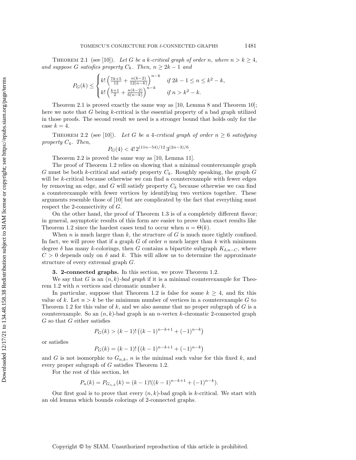THEOREM 2.1 (see [\[10\]](#page-25-10)). Let G be a k-critical graph of order n, where  $n > k \geq 4$ , and suppose G satisfies property  $C_k$ . Then,  $n \geq 2k - 1$  and

$$
P_G(k) \le \begin{cases} k! \left( \frac{7k+5}{12} + \frac{n(k-2)}{12(n-k)} \right)^{n-k} & \text{if } 2k - 1 \le n \le k^2 - k, \\ k! \left( \frac{k+1}{2} + \frac{n(k-2)}{6(n-k)} \right)^{n-k} & \text{if } n > k^2 - k. \end{cases}
$$

Theorem [2.1](#page-3-1) is proved exactly the same way as [\[10,](#page-25-10) Lemma 8 and Theorem 10]; here we note that  $G$  being  $k$ -critical is the essential property of a bad graph utilized in those proofs. The second result we need is a stronger bound that holds only for the case  $k = 4$ .

<span id="page-4-1"></span>THEOREM 2.2 (see [\[10\]](#page-25-10)). Let G be a 4-critical graph of order  $n \geq 6$  satisfying property  $C_4$ . Then,

$$
P_G(4) < 4! \, 2^{(11n - 54)/12} \, 3^{(2n - 3)/6}.
$$

Theorem [2.2](#page-4-1) is proved the same way as [\[10,](#page-25-10) Lemma 11].

The proof of Theorem [1.2](#page-2-0) relies on showing that a minimal counterexample graph G must be both k-critical and satisfy property  $C_k$ . Roughly speaking, the graph G will be k-critical because otherwise we can find a counterexample with fewer edges by removing an edge, and G will satisfy property  $C_k$  because otherwise we can find a counterexample with fewer vertices by identifying two vertices together. These arguments resemble those of [\[10\]](#page-25-10) but are complicated by the fact that everything must respect the 2-connectivity of G.

On the other hand, the proof of Theorem [1.3](#page-2-2) is of a completely different flavor; in general, asymptotic results of this form are easier to prove than exact results like Theorem [1.2](#page-2-0) since the hardest cases tend to occur when  $n = \Theta (k)$ .

When  $n$  is much larger than  $k$ , the structure of  $G$  is much more tightly confined. In fact, we will prove that if a graph  $G$  of order  $n$  much larger than  $k$  with minimum degree  $\delta$  has many k-colorings, then G contains a bipartite subgraph  $K_{\delta ,n - C}$ , where  $C > 0$  depends only on  $\delta$  and k. This will allow us to determine the approximate structure of every extremal graph G.

#### 3. 2-connected graphs. In this section, we prove Theorem [1.2.](#page-2-0)

<span id="page-4-0"></span>We say that G is an  $(n, k)$ -bad graph if it is a minimal counterexample for Theo-rem [1.2](#page-2-0) with *n* vertices and chromatic number  $k$ .

In particular, suppose that Theorem [1.2](#page-2-0) is false for some  $k \geq 4$ , and fix this value of k. Let  $n > k$  be the minimum number of vertices in a counterexample G to Theorem [1.2](#page-2-0) for this value of  $k$ , and we also assume that no proper subgraph of  $G$  is a counterexample. So an  $(n, k)$ -bad graph is an *n*-vertex k-chromatic 2-connected graph  $G$  so that  $G$  either satisfies

$$
P_G(k) > (k-1)! \left( (k-1)^{n-k+1} + (-1)^{n-k} \right)
$$

or satisfies

$$
P_G(k) = (k-1)! \left( (k-1)^{n-k+1} + (-1)^{n-k} \right)
$$

and G is not isomorphic to  $G_{n,k}$ , n is the minimal such value for this fixed k, and every proper subgraph of G satisfies Theorem [1.2.](#page-2-0)

For the rest of this section, let

$$
P_n(k) = P_{G_{n,k}}(k) = (k-1)!((k-1)^{n-k+1} + (-1)^{n-k}).
$$

<span id="page-4-2"></span>Our first goal is to prove that every  $(n, k)$ -bad graph is k-critical. We start with an old lemma which bounds colorings of 2-connected graphs.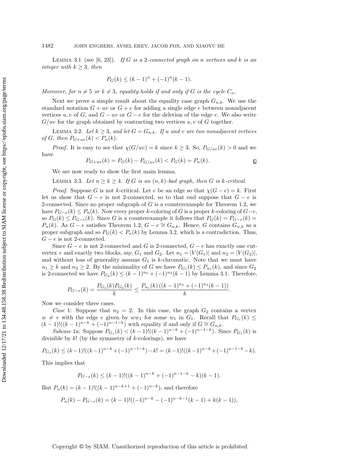LEMMA 3.1 (see  $[6, 23]$  $[6, 23]$  $[6, 23]$ ). If G is a 2-connected graph on n vertices and k is an integer with  $k \geq 3$ , then

$$
P_G(k) \le (k-1)^n + (-1)^n (k-1).
$$

Moreover, for  $n \neq 5$  or  $k \neq 3$ , equality holds if and only if G is the cycle  $C_n$ .

Next we prove a simple result about the equality case graph  $G_{n,k}$ . We use the standard notation  $G + uv$  or  $G + e$  for adding a single edge e between nonadjacent vertices  $u, v$  of G, and  $G - uv$  or  $G - e$  for the deletion of the edge e. We also write  $G/uv$  for the graph obtained by contracting two vertices  $u, v$  of G together.

<span id="page-5-0"></span>LEMMA 3.2. Let  $k \geq 3$ , and let  $G = G_{n,k}$ . If u and v are two nonadjacent vertices of G, then  $P_{G+uv}(k) < P_n(k)$ .

*Proof.* It is easy to see that  $\chi (G/uv) = k$  since  $k \geq 3$ . So,  $P_{G/uv}(k) > 0$  and we have

$$
P_{G+uv}(k) = P_G(k) - P_{G/uv}(k) < P_G(k) = P_n(k). \tag{}
$$

We are now ready to show the first main lemma.

<span id="page-5-1"></span>LEMMA 3.3. Let  $n \geq k \geq 4$ . If G is an  $(n, k)$ -bad graph, then G is k-critical.

*Proof.* Suppose G is not k-critical. Let e be an edge so that  $\chi (G - e) = k$ . First let us show that  $G - e$  is not 2-connected, so to that end suppose that  $G - e$  is 2-connected. Since no proper subgraph of  $G$  is a counterexample for Theorem [1.2,](#page-2-0) we have  $P_{G-e}(k) \leq P_n(k)$ . Now every proper k-coloring of G is a proper k-coloring of  $G - e$ , so  $P_G(k) \leq P_{G-e}(k)$ . Since G is a counterexample it follows that  $P_G(k) = P_{G-e}(k)$  $P_n(k)$ . As  $G - e$  satisfies Theorem [1.2,](#page-2-0)  $G - e \cong G_{n,k}$ . Hence, G contains  $G_{n,k}$  as a proper subgraph and so  $P_G(k) < P_n(k)$  by Lemma [3.2,](#page-5-0) which is a contradiction. Thus,  $G - e$  is not 2-connected.

Since  $G - e$  is not 2-connected and G is 2-connected,  $G - e$  has exactly one cutvertex v and exactly two blocks, say,  $G_1$  and  $G_2$ . Let  $n_1 = |V(G_1)|$  and  $n_2 = |V(G_2)|$ , and without loss of generality assume  $G_1$  is k-chromatic. Note that we must have  $n_1 \geq k$  and  $n_2 \geq 2$ . By the minimality of G we have  $P_{G_1}(k) \leq P_{n_1}(k)$ , and since  $G_2$ is 2-connected we have  $P_{G_2}(k) \leq (k - 1)^{n_2} + (-1)^{n_2}(k - 1)$  by Lemma [3.1.](#page-4-2) Therefore,

$$
P_{G-e}(k) = \frac{P_{G_1}(k)P_{G_2}(k)}{k} \le \frac{P_{n_1}(k) ((k-1)^{n_2} + (-1)^{n_2}(k-1))}{k}.
$$

Now we consider three cases.

Case 1: Suppose that  $n_2 = 2$ . In this case, the graph  $G_2$  contains a vertex  $w \neq v$  with the edge e given by  $ww_1$  for some  $w_1$  in  $G_1$ . Recall that  $P_{G_1}(k) \leq$  $(k-1)!((k-1)^{n-k} + (-1)^{n-1-k})$  with equality if and only if  $G \cong G_{n,k}$ .

Subcase 1a: Suppose  $P_{G_1}(k) < (k-1)!((k-1)^{n-k}+(-1)^{n-1-k})$ . Since  $P_{G_1}(k)$  is divisible by  $k!$  (by the symmetry of  $k$ -colorings), we have

$$
P_{G_1}(k) \le (k-1)!((k-1)^{n-k}+(-1)^{n-1-k})-k! = (k-1)!((k-1)^{n-k}+(-1)^{n-1-k}-k).
$$

This implies that

$$
P_{G-e}(k) \le (k-1)!((k-1)^{n-k}+(-1)^{n-1-k}-k)(k-1).
$$

But  $P_n(k) = (k-1)!((k-1)^{n-k+1} + (-1)^{n-k})$ , and therefore

$$
P_n(k) - P_{G-e}(k) = (k-1)!((-1)^{n-k} - (-1)^{n-k-1}(k-1) + k(k-1)),
$$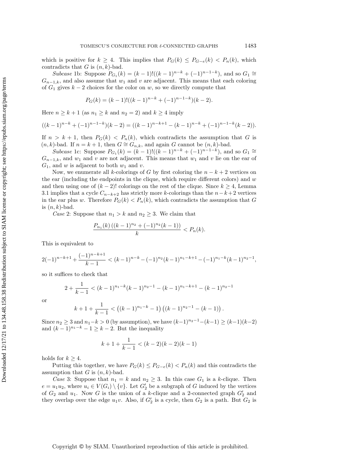which is positive for  $k \geq 4$ . This implies that  $P_G(k) \leq P_{G - e}(k) < P_n(k)$ , which contradicts that  $G$  is  $(n, k)$ -bad.

Subcase 1b: Suppose  $P_{G_1}(k) = (k-1)!((k-1)^{n-k} + (-1)^{n-1-k})$ , and so  $G_1 \cong$  $G_{n-1,k}$ , and also assume that  $w_1$  and v are adjacent. This means that each coloring of  $G_1$  gives  $k-2$  choices for the color on w, so we directly compute that

$$
P_G(k) = (k-1)!((k-1)^{n-k} + (-1)^{n-1-k})(k-2).
$$

Here  $n \geq k + 1$  (as  $n_1 \geq k$  and  $n_2 = 2$ ) and  $k \geq 4$  imply

$$
((k-1)^{n-k}+(-1)^{n-1-k})(k-2)=((k-1)^{n-k+1}-(k-1)^{n-k}+(-1)^{n-1-k}(k-2)).
$$

If  $n > k + 1$ , then  $P_G(k) < P_n(k)$ , which contradicts the assumption that G is  $(n, k)$ -bad. If  $n = k + 1$ , then  $G \cong G_{n, k}$ , and again G cannot be  $(n, k)$ -bad.

Subcase 1c: Suppose  $P_{G_1}(k) = (k-1)!((k-1)^{n-k} + (-1)^{n-1-k})$ , and so  $G_1 \cong$  $G_{n-1,k}$ , and  $w_1$  and v are not adjacent. This means that  $w_1$  and v lie on the ear of  $G_1$ , and w is adjacent to both  $w_1$  and v.

Now, we enumerate all k-colorings of G by first coloring the  $n - k + 2$  vertices on the ear (including the endpoints in the clique, which require different colors) and  $w$ and then using one of  $(k-2)!$  colorings on the rest of the clique. Since  $k \geq 4$ , Lemma [3.1](#page-4-2) implies that a cycle  $C_{n-k+2}$  has strictly more k-colorings than the  $n-k+2$  vertices in the ear plus w. Therefore  $P_G(k) < P_n(k)$ , which contradicts the assumption that G is  $(n, k)$ -bad.

Case 2: Suppose that  $n_1 > k$  and  $n_2 \geq 3$ . We claim that

$$
\frac{P_{n_1}(k)\left((k-1)^{n_2}+(-1)^{n_2}(k-1)\right)}{k} < P_n(k).
$$

This is equivalent to

$$
2(-1)^{n-k+1} + \frac{(-1)^{n-k+1}}{k-1} < (k-1)^{n-k} - (-1)^{n-1}(k-1)^{n-1-k+1} - (-1)^{n-1}(k-1)^{n-1},
$$

so it suffices to check that

$$
2 + \frac{1}{k-1} < (k-1)^{n_1-k}(k-1)^{n_2-1} - (k-1)^{n_1-k+1} - (k-1)^{n_2-1}
$$

or

$$
k+1+\frac{1}{k-1} < ((k-1)^{n_1-k}-1) ((k-1)^{n_2-1}-(k-1)).
$$

Since  $n_2 \geq 3$  and  $n_1 - k > 0$  (by assumption), we have  $(k - 1)^{n_2 - 1} - (k - 1) \geq (k - 1)(k - 2)$ and  $(k-1)^{n_1-k} - 1 \geq k - 2$ . But the inequality

$$
k+1+\frac{1}{k-1} < (k-2)(k-2)(k-1)
$$

holds for  $k \geq 4$ .

Putting this together, we have  $P_G(k) \leq P_{G - e}(k) < P_n(k)$  and this contradicts the assumption that G is  $(n, k)$ -bad.

Case 3: Suppose that  $n_1 = k$  and  $n_2 \geq 3$ . In this case  $G_1$  is a k-clique. Then  $e = u_1 u_2$ , where  $u_i \in V(G_i) \setminus \{ v\}$ . Let  $G_2'$  be a subgraph of G induced by the vertices of  $G_2$  and  $u_1$ . Now G is the union of a k-clique and a 2-connected graph  $G_2'$  and they overlap over the edge  $u_1v$ . Also, if  $G_2'$  is a cycle, then  $G_2$  is a path. But  $G_2$  is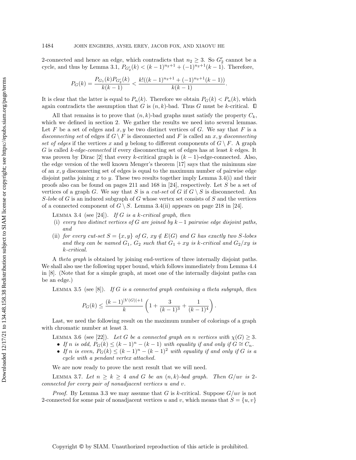2-connected and hence an edge, which contradicts that  $n_2 \geq 3$ . So  $G_2'$  cannot be a cycle, and thus by Lemma [3.1,](#page-4-2)  $P_{G'_{2}}(k) < (k-1)^{n_{2}+1} + (-1)^{n_{2}+1}(k-1)$ . Therefore,

$$
P_G(k) = \frac{P_{G_1}(k)P_{G_2'}(k)}{k(k-1)} < \frac{k!((k-1)^{n_2+1} + (-1)^{n_2+1}(k-1))}{k(k-1)}.
$$

It is clear that the latter is equal to  $P_n(k)$ . Therefore we obtain  $P_G(k) < P_n(k)$ , which again contradicts the assumption that  $G$  is  $(n, k)$ -bad. Thus  $G$  must be  $k$ -critical.  $\Box$ 

All that remains is to prove that  $(n, k)$ -bad graphs must satisfy the property  $C_k$ , which we defined in section [2.](#page-3-2) We gather the results we need into several lemmas. Let F be a set of edges and  $x, y$  be two distinct vertices of G. We say that F is a disconnecting set of edges if  $G \setminus F$  is disconnected and F is called an x, y disconnecting set of edges if the vertices x and y belong to different components of  $G \setminus F$ . A graph G is called k-edge-connected if every disconnecting set of edges has at least  $k$  edges. It was proven by Dirac [\[2\]](#page-25-11) that every k-critical graph is  $(k-1)$ -edge-connected. Also, the edge version of the well known Menger's theorem [\[17\]](#page-25-12) says that the minimum size of an  $x, y$  disconnecting set of edges is equal to the maximum number of pairwise edge disjoint paths joining  $x$  to  $y$ . These two results together imply Lemma [3.4](#page-7-0)[\(i\)](#page-7-1) and their proofs also can be found on pages 211 and 168 in [\[24\]](#page-25-13), respectively. Let S be a set of vertices of a graph G. We say that S is a cut-set of G if  $G \setminus S$  is disconnected. An S-lobe of G is an induced subgraph of G whose vertex set consists of S and the vertices of a connected component of  $G \setminus S$ . Lemma [3.4](#page-7-0)[\(ii\)](#page-7-2) appears on page 218 in [\[24\]](#page-25-13).

<span id="page-7-0"></span>LEMMA 3.4 (see [\[24\]](#page-25-13)). If G is a k-critical graph, then

- <span id="page-7-1"></span>(i) every two distinct vertices of G are joined by  $k-1$  pairwise edge disjoint paths, and
- <span id="page-7-2"></span>(ii) for every cut-set  $S = \{x, y\}$  of G,  $xy \notin E(G)$  and G has exactly two S-lobes and they can be named  $G_1$ ,  $G_2$  such that  $G_1 + xy$  is k-critical and  $G_2/xy$  is k-critical.

A theta graph is obtained by joining end-vertices of three internally disjoint paths. We shall also use the following upper bound, which follows immediately from Lemma 4.4 in [\[8\]](#page-25-14). (Note that for a simple graph, at most one of the internally disjoint paths can be an edge.)

<span id="page-7-3"></span>LEMMA 3.5 (see [\[8\]](#page-25-14)). If G is a connected graph containing a theta subgraph, then

$$
P_G(k) \le \frac{(k-1)^{|V(G)|+1}}{k} \left(1 + \frac{3}{(k-1)^3} + \frac{1}{(k-1)^4}\right).
$$

<span id="page-7-4"></span>Last, we need the following result on the maximum number of colorings of a graph with chromatic number at least 3.

LEMMA 3.6 (see [\[22\]](#page-25-15)). Let G be a connected graph on n vertices with  $\chi (G) \geq 3$ .

- $\bullet$  If n is odd,  $P_G(k) \leq (k 1)^n (k 1)$  with equality if and only if  $G \cong C_n$ .
- $\bullet$  If n is even,  $P_G(k) \leq (k 1)^n (k 1)^2$  with equality if and only if G is a cycle with a pendant vertex attached.

We are now ready to prove the next result that we will need.

<span id="page-7-5"></span>LEMMA 3.7. Let  $n \geq k \geq 4$  and G be an  $(n, k)$ -bad graph. Then G/uv is 2connected for every pair of nonadjacent vertices u and v.

*Proof.* By Lemma [3.3](#page-5-1) we may assume that G is k-critical. Suppose  $G/uv$  is not 2-connected for some pair of nonadjacent vertices u and v, which means that  $S = \{u, v\}$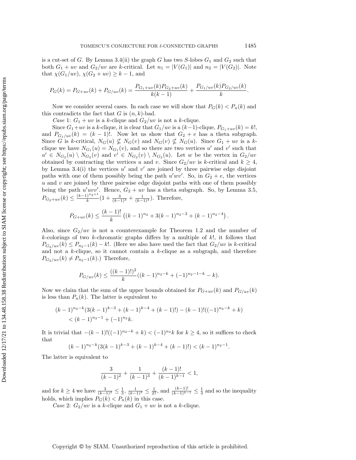is a cut-set of G. By Lemma [3.4](#page-7-0)[\(ii\)](#page-7-2) the graph G has two  $S$ -lobes  $G_1$  and  $G_2$  such that both  $G_1 + uv$  and  $G_2/uv$  are k-critical. Let  $n_1 = |V(G_1)|$  and  $n_2 = |V(G_2)|$ . Note that  $\chi (G_1/uv), \chi (G_2 + uv) \geq k - 1$ , and

$$
P_G(k) = P_{G+uv}(k) + P_{G/uv}(k) = \frac{P_{G_1+uv}(k)P_{G_2+uv}(k)}{k(k-1)} + \frac{P_{G_1/uv}(k)P_{G_2/uv}(k)}{k}.
$$

Now we consider several cases. In each case we will show that  $P_G(k) < P_n(k)$  and this contradicts the fact that  $G$  is  $(n, k)$ -bad.

Case 1:  $G_1 + uv$  is a k-clique and  $G_2/uv$  is not a k-clique.

Since  $G_1+uv$  is a k-clique, it is clear that  $G_1/uv$  is a  $(k-1)$ -clique,  $P_{G_1+uv}(k) = k!$ , and  $P_{G_1/uv}(k) = (k-1)!$ . Now let us show that  $G_2 + e$  has a theta subgraph. Since G is k-critical,  $N_G(u) \nsubseteq N_G(v)$  and  $N_G(v) \nsubseteq N_G(u)$ . Since  $G_1 + uv$  is a kclique we have  $N_{G_1}(u) = N_{G_1}(v)$ , and so there are two vertices u' and v' such that  $u' \in N_{G_2}(u) \setminus N_{G_2}(v)$  and  $v' \in N_{G_2}(v) \setminus N_{G_2}(u)$ . Let w be the vertex in  $G_2/uv$ obtained by contracting the vertices u and v. Since  $G_2/uv$  is k-critical and  $k \geq 4$ , by Lemma [3.4](#page-7-0)[\(i\)](#page-7-1) the vertices  $u'$  and  $v'$  are joined by three pairwise edge disjoint paths with one of them possibly being the path  $u'wv'$ . So, in  $G_2 + e$ , the vertices  $u$  and  $v$  are joined by three pairwise edge disjoint paths with one of them possibly being the path  $u'uvv'$ . Hence,  $G_2 + uv$  has a theta subgraph. So, by Lemma [3.5,](#page-7-3)  $P_{G_2+uv}(k) \leq \frac{(k-1)^{n_2+1}}{k}$  $\frac{k^{n-1}}{(k-1)^3} + \frac{1}{(k-1)^4}$ . Therefore,

$$
P_{G+uv}(k) \le \frac{(k-1)!}{k} \left( (k-1)^{n_2} + 3(k-1)^{n_2-3} + (k-1)^{n_2-4} \right).
$$

Also, since  $G_2/uv$  is not a counterexample for Theorem [1.2](#page-2-0) and the number of  $k$ -colorings of two k-chromatic graphs differs by a multiple of  $k!$ , it follows that  $P_{G_2/uv}(k) \leq P_{n_2 - 1}(k) - k!$ . (Here we also have used the fact that  $G_2/uv$  is k-critical and not a  $k$ -clique, so it cannot contain a  $k$ -clique as a subgraph, and therefore  $P_{G_2/uv}(k) \neq P_{n_2 - 1}(k)$ .) Therefore,

$$
P_{G/uv}(k) \le \frac{((k-1)!)^2}{k}((k-1)^{n_2-k}+(-1)^{n_2-1-k}-k).
$$

Now we claim that the sum of the upper bounds obtained for  $P_{G+uv}(k)$  and  $P_{G/uv}(k)$ is less than  $P_n(k)$ . The latter is equivalent to

$$
(k-1)^{n_2-k}(3(k-1)^{k-3}+(k-1)^{k-4}+(k-1)!)-(k-1)!((-1)^{n_2-k}+k)
$$
  
<  $(k-1)^{n_2-1}+(-1)^{n_2}k$ .

It is trivial that  $-(k-1)!((-1)^{n_2-k}+k) < (-1)^{n_2}k$  for  $k \geq 4$ , so it suffices to check that

$$
(k-1)^{n_2-k}(3(k-1)^{k-3}+(k-1)^{k-4}+(k-1)!) < (k-1)^{n_2-1}.
$$

The latter is equivalent to

$$
\frac{3}{(k-1)^2} + \frac{1}{(k-1)^3} + \frac{(k-1)!}{(k-1)^{k-1}} < 1,
$$

and for  $k \geq 4$  we have  $\frac{3}{(k-1)^2} \leq \frac{1}{3}$ ,  $\frac{1}{(k-1)^3} \leq \frac{1}{27}$ , and  $\frac{(k-1)!}{(k-1)^{k-1}} \leq \frac{1}{3}$  and so the inequality holds, which implies  $P_G(k) < P_n(k)$  in this case.

Case 2:  $G_2/uv$  is a k-clique and  $G_1 + uv$  is not a k-clique.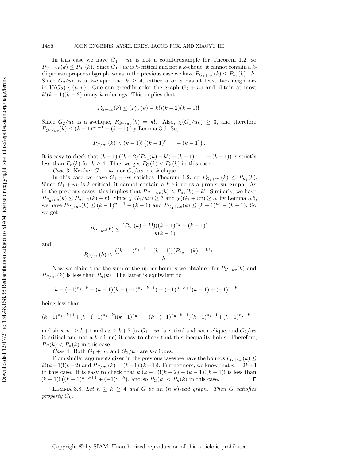In this case we have  $G_1 + uv$  is not a counterexample for Theorem [1.2,](#page-2-0) so  $P_{G_1+uv}(k) \leq P_{n_1}(k)$ . Since  $G_1+uv$  is k-critical and not a k-clique, it cannot contain a kclique as a proper subgraph, so as in the previous case we have  $P_{G_1+uv}(k) \leq P_{n_1}(k) - k!$ . Since  $G_2/uv$  is a k-clique and  $k \geq 4$ , either u or v has at least two neighbors in  $V(G_2) \setminus \{u, v\}$ . One can greedily color the graph  $G_2 + uv$  and obtain at most  $k!(k-1)(k-2)$  many k-colorings. This implies that

$$
P_{G+uv}(k) \le (P_{n_1}(k) - k!)(k-2)(k-1)!.
$$

Since  $G_2/uv$  is a k-clique,  $P_{G_2/uv}(k) = k!$ . Also,  $\chi (G_1/uv) \geq 3$ , and therefore  $P_{G_1/uv}(k) \leq (k - 1)^{n_1 - 1} - (k - 1)$  by Lemma [3.6.](#page-7-4) So,

$$
P_{G/uv}(k) < (k-1)! \left( (k-1)^{n_1-1} - (k-1) \right).
$$

It is easy to check that  $(k-1)!((k-2)(P_{n_1}(k)-k!) + (k-1)^{n_1-1} - (k-1))$  is strictly less than  $P_n(k)$  for  $k \geq 4$ . Thus we get  $P_G(k) < P_n(k)$  in this case.

Case 3: Neither  $G_1 + uv$  nor  $G_2/uv$  is a k-clique.

In this case we have  $G_1 + uv$  satisfies Theorem [1.2,](#page-2-0) so  $P_{G_1+uv}(k) \leq P_{n_1}(k)$ . Since  $G_1 + uv$  is k-critical, it cannot contain a k-clique as a proper subgraph. As in the previous cases, this implies that  $P_{G_1+uv}(k) \leq P_{n_1}(k) - k!$ . Similarly, we have  $P_{G_2/uv}(k) \leq P_{n_2 - 1}(k) - k!$ . Since  $\chi(G_1/uv) \geq 3$  and  $\chi(G_2 + uv) \geq 3$ , by Lemma [3.6,](#page-7-4) we have  $P_{G_1/uv}(k) \leq (k - 1)^{n_1 - 1} - (k - 1)$  and  $P_{G_2+uv}(k) \leq (k - 1)^{n_2} - (k - 1)$ . So we get

$$
P_{G+uv}(k) \le \frac{(P_{n_1}(k) - k!)((k-1)^{n_2} - (k-1))}{k(k-1)}
$$

and

$$
P_{G/uv}(k) \le \frac{((k-1)^{n_1-1}-(k-1))(P_{n_2-1}(k)-k!)}{k}.
$$

Now we claim that the sum of the upper bounds we obtained for  $P_{G+uv}(k)$  and  $P_{G/uv}(k)$  is less than  $P_n(k)$ . The latter is equivalent to

$$
k - (-1)^{n_1 - k} + (k - 1)(k - (-1)^{n_2 - k - 1}) + (-1)^{n - k + 1}(k - 1) + (-1)^{n - k + 1}
$$

being less than

$$
(k-1)^{n_1-k+1} + (k-(-1)^{n_1-k})(k-1)^{n_2-1} + (k-(-1)^{n_2-k-1})(k-1)^{n_1-1} + (k-1)^{n_2-k+1}
$$

and since  $n_1 \geq k + 1$  and  $n_2 \geq k + 2$  (as  $G_1 + uv$  is critical and not a clique, and  $G_2/uv$ is critical and not a k-clique) it easy to check that this inequality holds. Therefore,  $P_G(k) < P_n(k)$  in this case.

Case 4: Both  $G_1 + uv$  and  $G_2/uv$  are k-cliques.

From similar arguments given in the previous cases we have the bounds  $P_{G+uv}(k) \leq$  $k!(k-1)!(k-2)$  and  $P_{G/uv}(k) = (k-1)!(k-1)!$ . Furthermore, we know that  $n = 2k+1$ in this case. It is easy to check that  $k!(k-1)!(k-2) + (k-1)!(k-1)!$  is less than  $(k-1)! \left( (k-1)^{n-k+1} + (-1)^{n-k} \right)$ , and so  $P_G(k) < P_n(k)$  in this case. •

<span id="page-9-0"></span>LEMMA 3.8. Let  $n \geq k \geq 4$  and G be an  $(n, k)$ -bad graph. Then G satisfies property  $C_k$ .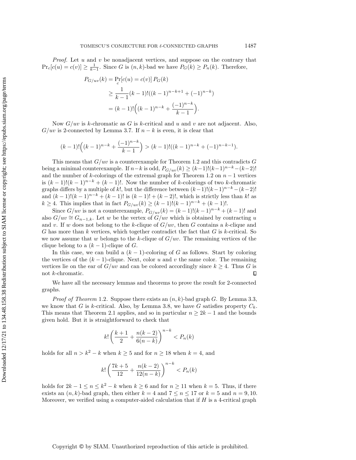*Proof.* Let  $u$  and  $v$  be nonadjacent vertices, and suppose on the contrary that  $Pr_c[c(u) = c(v)] \geq \frac{1}{k-1}$ . Since G is  $(n, k)$ -bad we have  $P_G(k) \geq P_n(k)$ . Therefore,

$$
P_{G/uv}(k) = \Pr_c[c(u) = c(v)] P_G(k)
$$
  
\n
$$
\geq \frac{1}{k-1} (k-1)! ((k-1)^{n-k+1} + (-1)^{n-k})
$$
  
\n
$$
= (k-1)! ((k-1)^{n-k} + \frac{(-1)^{n-k}}{k-1}).
$$

Now  $G/uv$  is k-chromatic as G is k-critical and u and v are not adjacent. Also,  $G/uv$  is 2-connected by Lemma [3.7.](#page-7-5) If  $n - k$  is even, it is clear that

$$
(k-1)! \left( (k-1)^{n-k} + \frac{(-1)^{n-k}}{k-1} \right) > (k-1)! \left( (k-1)^{n-k} + (-1)^{n-k-1} \right).
$$

This means that  $G/uv$  is a counterexample for Theorem [1.2](#page-2-0) and this contradicts G being a minimal counterexample. If  $n - k$  is odd,  $P_{G/uv}(k) \geq (k - 1)!(k - 1)^{n - k} - (k - 2)!$ and the number of k-colorings of the extremal graph for Theorem [1.2](#page-2-0) on  $n-1$  vertices is  $(k-1)!(k-1)^{n-k} + (k-1)!$ . Now the number of k-colorings of two k-chromatic graphs differs by a multiple of k!, but the difference between  $(k-1)!(k-1)^{n-k}-(k-2)!$ and  $(k-1)!(k-1)^{n-k} + (k-1)!$  is  $(k-1)! + (k-2)!$ , which is strictly less than k! as  $k \geq 4$ . This implies that in fact  $P_{G/uv}(k) \geq (k - 1)!(k - 1)^{n - k} + (k - 1)!$ .

Since  $G/uv$  is not a counterexample,  $P_{G/uv}(k) = (k-1)!(k-1)^{n-k} + (k-1)!$  and also  $G/uv \cong G_{n-1,k}$ . Let w be the vertex of  $G/uv$  which is obtained by contracting u and v. If w does not belong to the k-clique of  $G/uv$ , then G contains a k-clique and G has more than k vertices, which together contradict the fact that  $G$  is k-critical. So we now assume that w belongs to the k-clique of  $G/uv$ . The remaining vertices of the clique belong to a  $(k-1)$ -clique of G.

In this case, we can build a  $(k - 1)$ -coloring of G as follows. Start by coloring the vertices of the  $(k - 1)$ -clique. Next, color u and v the same color. The remaining vertices lie on the ear of  $G/uv$  and can be colored accordingly since  $k \geq 4$ . Thus G is not k-chromatic. •

We have all the necessary lemmas and theorems to prove the result for 2-connected graphs.

*Proof of Theorem* [1.2](#page-2-0). Suppose there exists an  $(n, k)$ -bad graph G. By Lemma [3.3,](#page-5-1) we know that G is k-critical. Also, by Lemma [3.8,](#page-9-0) we have G satisfies property  $C_k$ . This means that Theorem [2.1](#page-3-1) applies, and so in particular  $n \geq 2k - 1$  and the bounds given hold. But it is straightforward to check that

$$
k! \left(\frac{k+1}{2} + \frac{n(k-2)}{6(n-k)}\right)^{n-k} < P_n(k)
$$

holds for all  $n > k^2 - k$  when  $k \geq 5$  and for  $n \geq 18$  when  $k = 4$ , and

$$
k! \left( \frac{7k+5}{12} + \frac{n(k-2)}{12(n-k)} \right)^{n-k} < P_n(k)
$$

holds for  $2k - 1 \leq n \leq k^2 - k$  when  $k \geq 6$  and for  $n \geq 11$  when  $k = 5$ . Thus, if there exists an  $(n, k)$ -bad graph, then either  $k = 4$  and  $7 \leq n \leq 17$  or  $k = 5$  and  $n = 9, 10$ . Moreover, we verified using a computer-aided calculation that if  $H$  is a 4-critical graph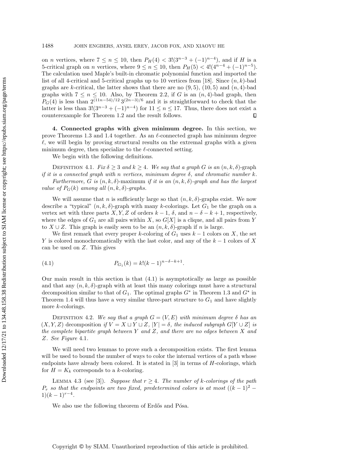on *n* vertices, where  $7 \leq n \leq 10$ , then  $P_H(4) < 3!(3^{n-3} + (-1)^{n-4})$ , and if H is a 5-critical graph on *n* vertices, where  $9 \leq n \leq 10$ , then  $P_H(5) < 4!(4^{n-4} + (-1)^{n-5})$ . The calculation used Maple's built-in chromatic polynomial function and imported the list of all 4-critical and 5-critical graphs up to 10 vertices from [\[18\]](#page-25-16). Since  $(n, k)$ -bad graphs are k-critical, the latter shows that there are no  $(9,5)$ ,  $(10,5)$  and  $(n,4)$ -bad graphs with  $7 \leq n \leq 10$ . Also, by Theorem [2.2,](#page-4-1) if G is an  $(n, 4)$ -bad graph, then  $P_G(4)$  is less than  $2^{(11n-54)/12} 3^{(2n-3)/6}$  and it is straightforward to check that the latter is less than  $3!(3^{n-3} + (-1)^{n-4})$  for  $11 \leq n \leq 17$ . Thus, there does not exist a counterexample for Theorem [1.2](#page-2-0) and the result follows.  $\Box$ 

<span id="page-11-0"></span>4. Connected graphs with given minimum degree. In this section, we prove Theorems [1.3](#page-2-2) and [1.4](#page-2-1) together. As an  $\ell$ -connected graph has minimum degree  $\ell$ , we will begin by proving structural results on the extremal graphs with a given minimum degree, then specialize to the  $\ell$ -connected setting.

We begin with the following definitions.

DEFINITION 4.1. Fix  $\delta \geq 3$  and  $k \geq 4$ . We say that a graph G is an  $(n, k, \delta)$ -graph if it is a connected graph with n vertices, minimum degree  $\delta$ , and chromatic number k. Furthermore, G is  $(n, k, \delta)$ -maximum if it is an  $(n, k, \delta)$ -graph and has the largest value of  $P_G(k)$  among all  $(n, k, \delta)$ -graphs.

We will assume that n is sufficiently large so that  $(n, k, \delta)$ -graphs exist. We now describe a "typical"  $(n, k, \delta)$ -graph with many k-colorings. Let  $G_1$  be the graph on a vertex set with three parts X, Y, Z of orders  $k - 1$ ,  $\delta$ , and  $n - \delta - k + 1$ , respectively, where the edges of  $G_1$  are all pairs within X, so  $G[X]$  is a clique, and all pairs from Y to  $X \cup Z$ . This graph is easily seen to be an  $(n, k, \delta)$ -graph if n is large.

We first remark that every proper k-coloring of  $G_1$  uses  $k-1$  colors on X, the set Y is colored monochromatically with the last color, and any of the  $k-1$  colors of X can be used on  $Z$ . This gives

<span id="page-11-1"></span>(4.1) 
$$
P_{G_1}(k) = k!(k-1)^{n-\delta-k+1}.
$$

Our main result in this section is that  $(4.1)$  is asymptotically as large as possible and that any  $(n, k, \delta)$ -graph with at least this many colorings must have a structural decomposition similar to that of  $G_1$ . The optimal graphs  $G^*$  in Theorem [1.3](#page-2-2) and  $G^*$  in Theorem [1.4](#page-2-1) will thus have a very similar three-part structure to  $G_1$  and have slightly more k-colorings.

DEFINITION 4.2. We say that a graph  $G = (V, E)$  with minimum degree  $\delta$  has an  $(X, Y, Z)$  decomposition if  $V = X \sqcup Y \sqcup Z$ ,  $| Y | = \delta$ , the induced subgraph  $G[Y \cup Z]$  is the complete bipartite graph between Y and Z, and there are no edges between X and Z. See Figure [4.1](#page-12-0).

We will need two lemmas to prove such a decomposition exists. The first lemma will be used to bound the number of ways to color the internal vertices of a path whose endpoints have already been colored. It is stated in  $[3]$  in terms of H-colorings, which for  $H = K_k$  corresponds to a k-coloring.

LEMMA 4.3 (see [\[3\]](#page-25-17)). Suppose that  $r \geq 4$ . The number of k-colorings of the path  $P_r$  so that the endpoints are two fixed, predetermined colors is at most  $((k-1)^2 1)(k-1)^{r-4}.$ 

<span id="page-11-2"></span>We also use the following theorem of Erd $\ddot{\sigma}$  and P $\ddot{\sigma}$ sa.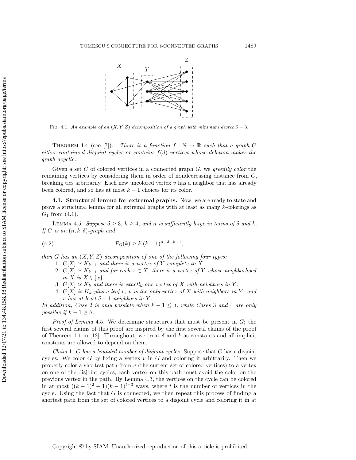<span id="page-12-0"></span>

FIG. 4.1. An example of an  $(X, Y, Z)$  decomposition of a graph with minimum degree  $\delta = 3$ .

<span id="page-12-3"></span>THEOREM 4.4 (see [\[7\]](#page-25-18)). There is a function  $f : \mathbb{N} \rightarrow \mathbb{R}$  such that a graph G either contains d disjoint cycles or contains  $f(d)$  vertices whose deletion makes the graph acyclic.

Given a set  $C$  of colored vertices in a connected graph  $G$ , we greedily color the remaining vertices by considering them in order of nondecreasing distance from C, breaking ties arbitrarily. Each new uncolored vertex  $v$  has a neighbor that has already been colored, and so has at most  $k-1$  choices for its color.

4.1. Structural lemma for extremal graphs. Now, we are ready to state and prove a structural lemma for all extremal graphs with at least as many k-colorings as  $G_1$  from  $(4.1)$ .

<span id="page-12-1"></span>LEMMA 4.5. Suppose  $\delta \geq 3, k \geq 4$ , and n is sufficiently large in terms of  $\delta$  and k. If G is an  $(n, k, \delta)$ -graph and

(4.2) 
$$
P_G(k) \ge k!(k-1)^{n-\delta-k+1},
$$

then G has an  $(X, Y, Z)$  decomposition of one of the following four types:

- <span id="page-12-2"></span>1.  $G[X] \simeq K_{k - 1}$  and there is a vertex of Y complete to X.
- 2.  $G[X] \simeq K_{k 1}$  and for each  $x \in X$ , there is a vertex of Y whose neighborhood in X is  $X \setminus \{ x\}$ .
- 3.  $G[X] \simeq K_k$  and there is exactly one vertex of X with neighbors in Y.
- 4. G[X] is  $K_k$  plus a leaf v, v is the only vertex of X with neighbors in Y, and v has at least  $\delta - 1$  neighbors in Y.

In addition, Case 2 is only possible when  $k - 1 \leq \delta$ , while Cases 3 and 4 are only possible if  $k - 1 \geq \delta$ .

*Proof of Lemma [4.5](#page-12-1).* We determine structures that must be present in  $G$ ; the first several claims of this proof are inspired by the first several claims of the proof of Theorem 1.1 in [\[12\]](#page-25-5). Throughout, we treat  $\delta$  and k as constants and all implicit constants are allowed to depend on them.

Claim  $1: G$  has a bounded number of disjoint cycles. Suppose that  $G$  has  $c$  disjoint cycles. We color G by fixing a vertex  $v$  in G and coloring it arbitrarily. Then we properly color a shortest path from  $v$  (the current set of colored vertices) to a vertex on one of the disjoint cycles; each vertex on this path must avoid the color on the previous vertex in the path. By Lemma [4.3,](#page-11-2) the vertices on the cycle can be colored in at most  $((k-1)^2-1)(k-1)^{t-3}$  ways, where t is the number of vertices in the cycle. Using the fact that  $G$  is connected, we then repeat this process of finding a shortest path from the set of colored vertices to a disjoint cycle and coloring it in at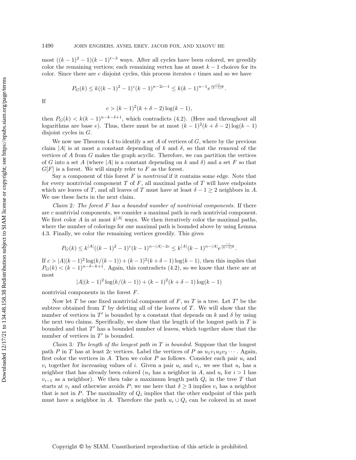most  $((k-1)^2-1)(k-1)^{t-3}$  ways. After all cycles have been colored, we greedily color the remaining vertices; each remaining vertex has at most  $k-1$  choices for its color. Since there are  $c$  disjoint cycles, this process iterates  $c$  times and so we have

$$
P_G(k) \le k((k-1)^2 - 1)^c (k-1)^{n-2c-1} \le k(k-1)^{n-1} e^{\frac{-c}{(k-1)^2}}.
$$

If

$$
c > (k-1)^2(k+\delta-2)\log(k-1),
$$

then  $P_G(k) < k(k-1)^{n-k-\delta+1}$ , which contradicts [\(4.2\)](#page-12-2). (Here and throughout all logarithms are base e). Thus, there must be at most  $(k-1)^2(k+\delta - 2)\log(k-1)$ disjoint cycles in G.

We now use Theorem [4.4](#page-12-3) to identify a set  $A$  of vertices of  $G$ , where by the previous claim |A| is at most a constant depending of k and  $\delta$ , so that the removal of the vertices of A from G makes the graph acyclic. Therefore, we can partition the vertices of G into a set A (where |A| is a constant depending on k and  $\delta$ ) and a set F so that  $G[F]$  is a forest. We will simply refer to F as the forest.

Say a component of this forest  $F$  is *nontrivial* if it contains some edge. Note that for every nontrivial component  $T$  of  $F$ , all maximal paths of  $T$  will have endpoints which are leaves of T, and all leaves of T must have at least  $\delta - 1 \geq 2$  neighbors in A. We use these facts in the next claim.

Claim 2: The forest  $F$  has a bounded number of nontrivial components. If there are c nontrivial components, we consider a maximal path in each nontrivial component. We first color A in at most  $k^{|A|}$  ways. We then iteratively color the maximal paths, where the number of colorings for one maximal path is bounded above by using Lemma [4.3.](#page-11-2) Finally, we color the remaining vertices greedily. This gives

$$
P_G(k) \le k^{|A|}((k-1)^2 - 1)^c (k-1)^{n-|A|-2c} \le k^{|A|}(k-1)^{n-|A|} e^{\frac{-c}{(k-1)^2}}.
$$

If  $c > |A|(k-1)^2 \log(k/(k-1)) + (k-1)^2(k+\delta - 1) \log(k-1)$ , then this implies that  $P_G(k) < (k-1)^{n-\delta - k+1}$ . Again, this contradicts [\(4.2\)](#page-12-2), so we know that there are at most

$$
|A|(k-1)^2 \log(k/(k-1)) + (k-1)^2(k+\delta-1)\log(k-1)
$$

nontrivial components in the forest F.

Now let T be one fixed nontrivial component of  $F$ , so T is a tree. Let T' be the subtree obtained from  $T$  by deleting all of the leaves of  $T$ . We will show that the number of vertices in  $T'$  is bounded by a constant that depends on k and  $\delta$  by using the next two claims. Specifically, we show that the length of the longest path in  $T$  is bounded and that  $T'$  has a bounded number of leaves, which together show that the number of vertices in  $T'$  is bounded.

Claim 3: The length of the longest path in  $T$  is bounded. Suppose that the longest path P in T has at least 2c vertices. Label the vertices of P as  $u_1v_1u_2v_2 \cdots$ . Again, first color the vertices in A. Then we color  $P$  as follows. Consider each pair  $u_i$  and  $v_i$  together for increasing values of i. Given a pair  $u_i$  and  $v_i$ , we see that  $u_i$  has a neighbor that has already been colored  $(u_1)$  has a neighbor in A, and  $u_i$  for  $i > 1$  has  $v_{i-1}$  as a neighbor). We then take a maximum length path  $Q_i$  in the tree T that starts at  $v_i$  and otherwise avoids P; we use here that  $\delta \geq 3$  implies  $v_i$  has a neighbor that is not in  $P$ . The maximality of  $Q_i$  implies that the other endpoint of this path must have a neighbor in A. Therefore the path  $u_i \cup Q_i$  can be colored in at most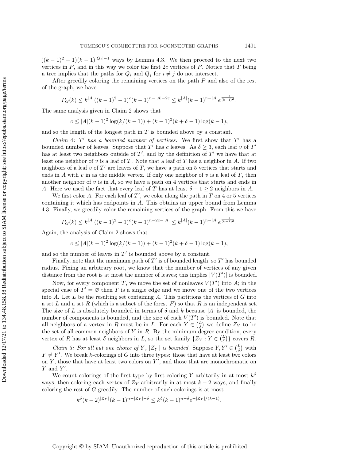$((k-1)^2-1)(k-1)^{|Q_i|-1}$  ways by Lemma [4.3.](#page-11-2) We then proceed to the next two vertices in  $P$ , and in this way we color the first  $2c$  vertices of  $P$ . Notice that  $T$  being a tree implies that the paths for  $Q_i$  and  $Q_j$  for  $i \neq j$  do not intersect.

After greedily coloring the remaining vertices on the path  $P$  and also of the rest of the graph, we have

$$
P_G(k) \le k^{|A|}((k-1)^2 - 1)^c (k-1)^{n-|A|-2c} \le k^{|A|}(k-1)^{n-|A|} e^{\frac{-c}{(k-1)^2}}.
$$

The same analysis given in Claim 2 shows that

$$
c \le |A|(k-1)^2 \log(k/(k-1)) + (k-1)^2(k+\delta-1)\log(k-1),
$$

and so the length of the longest path in  $T$  is bounded above by a constant.

Claim 4:  $T'$  has a bounded number of vertices. We first show that  $T'$  has a bounded number of leaves. Suppose that T' has c leaves. As  $\delta \geq 3$ , each leaf v of T' has at least two neighbors outside of  $T'$ , and by the definition of  $T'$  we have that at least one neighbor of  $v$  is a leaf of  $T$ . Note that a leaf of  $T$  has a neighbor in  $A$ . If two neighbors of a leaf v of  $T'$  are leaves of T, we have a path on 5 vertices that starts and ends in A with  $v$  in as the middle vertex. If only one neighbor of  $v$  is a leaf of  $T$ , then another neighbor of  $v$  is in  $A$ , so we have a path on 4 vertices that starts and ends in A. Here we used the fact that every leaf of T has at least  $\delta - 1 \geq 2$  neighbors in A.

We first color A. For each leaf of  $T'$ , we color along the path in  $T$  on 4 or 5 vertices containing it which has endpoints in A. This obtains an upper bound from Lemma [4.3.](#page-11-2) Finally, we greedily color the remaining vertices of the graph. From this we have

$$
P_G(k) \le k^{|A|}((k-1)^2 - 1)^c (k-1)^{n-2c-|A|} \le k^{|A|}(k-1)^{n-|A|} e^{\frac{-c}{(k-1)^2}}.
$$

Again, the analysis of Claim 2 shows that

$$
c \le |A|(k-1)^2 \log(k/(k-1)) + (k-1)^2(k+\delta-1)\log(k-1),
$$

and so the number of leaves in  $T'$  is bounded above by a constant.

Finally, note that the maximum path of  $T'$  is of bounded length, so  $T'$  has bounded radius. Fixing an arbitrary root, we know that the number of vertices of any given distance from the root is at most the number of leaves; this implies  $|V(T')|$  is bounded.

Now, for every component T, we move the set of nonleaves  $V(T')$  into A; in the special case of  $T' = \varnothing$  then T is a single edge and we move one of the two vertices into  $A$ . Let  $L$  be the resulting set containing  $A$ . This partitions the vertices of  $G$  into a set L and a set R (which is a subset of the forest  $F$ ) so that R is an independent set. The size of L is absolutely bounded in terms of  $\delta$  and k because | A| is bounded, the number of components is bounded, and the size of each  $V(T')$  is bounded. Note that all neighbors of a vertex in R must be in L. For each  $Y \in \binom{L}{\delta}$  we define  $Z_Y$  to be the set of all common neighbors of  $Y$  in  $R$ . By the minimum degree condition, every vertex of R has at least  $\delta$  neighbors in L, so the set family  $\{ Z_Y : Y \in \binom{L}{\delta} \}$  covers R.

Claim 5: For all but one choice of Y,  $|Z_Y|$  is bounded. Suppose  $Y, Y' \in \binom{L}{\delta}$  with  $Y \neq Y'$ . We break k-colorings of G into three types: those that have at least two colors on Y, those that have at least two colors on  $Y'$ , and those that are monochromatic on  $Y$  and  $Y'$ .

We count colorings of the first type by first coloring Y arbitarily in at most  $k^{\delta}$ ways, then coloring each vertex of  $Z_Y$  arbitrarily in at most  $k-2$  ways, and finally coloring the rest of  $G$  greedily. The number of such colorings is at most

$$
k^{\delta}(k-2)^{|Z_Y|}(k-1)^{n-|Z_Y|-\delta} \le k^{\delta}(k-1)^{n-\delta}e^{-|Z_Y|/(k-1)}.
$$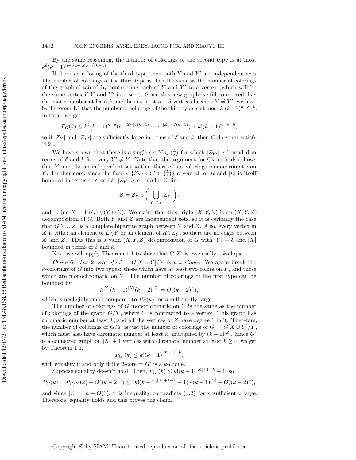By the same reasoning, the number of colorings of the second type is at most  $k^{\delta} (k-1)^{n-\delta} e^{-|Z_{Y'}|/(k-1)}.$ 

If there's a coloring of the third type, then both  $Y$  and  $Y'$  are independent sets. The number of colorings of the third type is then the same as the number of colorings of the graph obtained by contracting each of  $Y$  and  $Y'$  to a vertex (which will be the same vertex if Y and Y' intersect). Since this new graph is still connected, has chromatic number at least k, and has at most  $n - \delta$  vertices because  $Y \neq Y'$ , we have by Theorem [1.1](#page-1-0) that the number of colorings of the third type is at most  $k!(k-1)^{n-\delta - k}$ . In total, we get

$$
P_G(k) \le k^{\delta} (k-1)^{n-\delta} (e^{-|Z_Y|/(k-1)} + e^{-|Z_{Y'}|/(k-1)}) + k!(k-1)^{n-\delta-k},
$$

so if  $|Z_Y|$  and  $|Z_{Y'}|$  are sufficiently large in terms of  $\delta$  and k, then G does not satisfy  $(4.2).$  $(4.2).$ 

We have shown that there is a single set  $Y \in \binom{L}{\delta}$  for which  $|Z_{Y'}|$  is bounded in terms of  $\delta$  and k for every  $Y' \neq Y$ . Note that the argument for Claim 5 also shows that Y must be an independent set so that there exists colorings monochromatic on Y. Furthermore, since the family  $\{ Z_{Y'} : Y' \in \binom{L}{\delta} \}$  covers all of R and  $|L|$  is itself bounded in terms of  $\delta$  and  $k, |Z_Y| \geq n - O(1)$ . Define

$$
Z = Z_Y \setminus \bigg(\bigcup_{Y' \neq Y} Z_{Y'}\bigg),
$$

and define  $X = V(G) \setminus (Y \cup Z)$ . We claim that this triple  $(X, Y, Z)$  is an  $(X, Y, Z)$ decomposition of G. Both Y and Z are independent sets, so it is certainly the case that  $G[Y \cup Z]$  is a complete bipartite graph between Y and Z. Also, every vertex in X is either an element of  $L \setminus Y$  or an element of  $R \setminus Z_Y$ , so there are no edges between X and Z. Thus this is a valid  $(X, Y, Z)$  decomposition of G with  $|Y| = \delta$  and  $|X|$ bounded in terms of  $\delta$  and k.

Next we will apply Theorem [1.1](#page-1-0) to show that  $G[X]$  is essentially a k-clique.

Claim 6: The 2-core of  $G' = G[X \cup Y]/Y$  is a k-clique. We again break the  $k$ -colorings of  $G$  into two types: those which have at least two colors on  $Y$ , and those which are monochromatic on  $Y$ . The number of colorings of the first type can be bounded by

$$
k^{|Y|}(k-1)^{|X|}(k-2)^{|Z|} = O((k-2)^n),
$$

which is negligibly small compared to  $P_G(k)$  for n sufficiently large.

The number of colorings of  $G$  monochromatic on  $Y$  is the same as the number of colorings of the graph  $G/Y$ , where Y is contracted to a vertex. This graph has chromatic number at least  $k$ , and all the vertices of  $Z$  have degree 1 in it. Therefore, the number of colorings of  $G/Y$  is just the number of colorings of  $G' = G[X \cup Y] / Y$ , which must also have chromatic number at least k, multiplied by  $(k-1)^{|Z|}$ . Since G' is a connected graph on  $|X| + 1$  vertices with chromatic number at least  $k \geq 4$ , we get by Theorem [1.1,](#page-1-0)

$$
P_{G'}(k) \le k!(k-1)^{|X|+1-k},
$$

with equality if and only if the 2-core of  $G'$  is a k-clique.

Suppose equality doesn't hold. Then,  $P_{G'}(k) \leq k!(k - 1)^{|X| + 1 - k} - 1$ , so

$$
P_G(k) = P_{G/Y}(k) + O((k-2)^n) \le (k!(k-1)^{|X|+1-k}-1) \cdot (k-1)^{|Z|} + O((k-2)^n),
$$

and since  $|Z| = n - O(1)$ , this inequality contradicts [\(4.2\)](#page-12-2) for *n* sufficiently large. Therefore, equality holds and this proves the claim.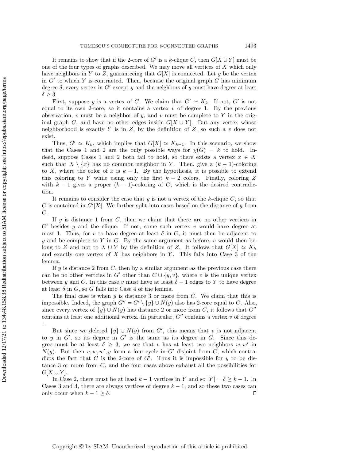It remains to show that if the 2-core of G' is a k-clique C, then  $G[X \cup Y ]$  must be one of the four types of graphs described. We may move all vertices of  $X$  which only have neighbors in Y to Z, guaranteeing that  $G[X]$  is connected. Let y be the vertex in  $G'$  to which Y is contracted. Then, because the original graph  $G$  has minimum degree  $\delta$ , every vertex in G' except y and the neighbors of y must have degree at least  $\delta \geq 3.$ 

First, suppose y is a vertex of C. We claim that  $G' \simeq K_k$ . If not, G' is not equal to its own 2-core, so it contains a vertex  $v$  of degree 1. By the previous observation, v must be a neighbor of y, and v must be complete to Y in the original graph G, and have no other edges inside  $G[X \cup Y]$ . But any vertex whose neighborhood is exactly  $Y$  is in  $Z$ , by the definition of  $Z$ , so such a  $v$  does not exist.

Thus,  $G' \simeq K_k$ , which implies that  $G[X] \simeq K_{k - 1}$ . In this scenario, we show that the Cases 1 and 2 are the only possible ways for  $\chi (G) = k$  to hold. Indeed, suppose Cases 1 and 2 both fail to hold, so there exists a vertex  $x \in X$ such that  $X \setminus \{x\}$  has no common neighbor in Y. Then, give a  $(k - 1)$ -coloring to X, where the color of x is  $k-1$ . By the hypothesis, it is possible to extend this coloring to Y while using only the first  $k - 2$  colors. Finally, coloring Z with  $k-1$  gives a proper  $(k-1)$ -coloring of G, which is the desired contradiction.

It remains to consider the case that y is not a vertex of the k-clique  $C$ , so that C is contained in  $G'[X]$ . We further split into cases based on the distance of y from  $C$ .

If  $y$  is distance 1 from  $C$ , then we claim that there are no other vertices in  $G'$  besides y and the clique. If not, some such vertex v would have degree at most 1. Thus, for v to have degree at least  $\delta$  in G, it must then be adjacent to y and be complete to Y in G. By the same argument as before, v would then belong to Z and not to  $X \cup Y$  by the definition of Z. It follows that  $G[X] \simeq K_k$ and exactly one vertex of  $X$  has neighbors in  $Y$ . This falls into Case 3 of the lemma.

If  $y$  is distance 2 from  $C$ , then by a similar argument as the previous case there can be no other vertcies in G' other than  $C \cup \{ y, v \}$ , where v is the unique vertex between y and C. In this case v must have at least  $\delta - 1$  edges to Y to have degree at least  $\delta$  in G, so G falls into Case 4 of the lemma.

The final case is when  $y$  is distance 3 or more from  $C$ . We claim that this is impossible. Indeed, the graph  $G'' = G' \setminus \{ y\} \cup N(y)$  also has 2-core equal to C. Also, since every vertex of  $\{ y\} \cup N(y)$  has distance 2 or more from C, it follows that  $G\prime \prime$ contains at least one additional vertex. In particular,  $G\prime\prime$  contains a vertex v of degree 1.

But since we deleted  $\{ y\} \cup N(y)$  from G', this means that v is not adjacent to y in  $G'$ , so its degree in  $G'$  is the same as its degree in G. Since this degree must be at least  $\delta \geq 3$ , we see that v has at least two neighbors w, w' in  $N(y)$ . But then  $v, w, w', y$  form a four-cycle in G' disjoint from C, which contradicts the fact that C is the 2-core of  $G'$ . Thus it is impossible for y to be distance 3 or more from  $C$ , and the four cases above exhaust all the possibilities for  $G[X \cup Y]$ .

In Case 2, there must be at least  $k - 1$  vertices in Y and so  $|Y| = \delta \geq k - 1$ . In Cases 3 and 4, there are always vertices of degree  $k - 1$ , and so these two cases can only occur when  $k - 1 \geq \delta$ .  $\Box$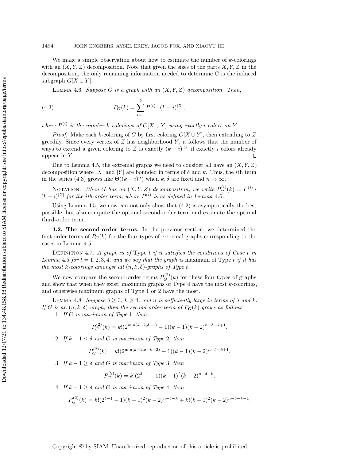We make a simple observation about how to estimate the number of  $k$ -colorings with an  $(X, Y, Z)$  decomposition. Note that given the sizes of the parts  $X, Y, Z$  in the decomposition, the only remaining information needed to determine  $G$  is the induced subgraph  $G[X \cup Y]$ .

<span id="page-17-2"></span><span id="page-17-1"></span>LEMMA 4.6. Suppose G is a graph with an  $(X, Y, Z)$  decomposition. Then,

(4.3) 
$$
P_G(k) = \sum_{i=1}^k P^{(i)} \cdot (k-i)^{|Z|},
$$

where  $P^{(i)}$  is the number k-colorings of  $G[X \cup Y]$  using exactly i colors on Y.

*Proof.* Make each k-coloring of G by first coloring  $G[X \cup Y]$ , then extending to Z greedily. Since every vertex of  $Z$  has neighborhood  $Y$ , it follows that the number of ways to extend a given coloring to Z is exactly  $(k-i)^{|Z|}$  if exactly i colors already appear in Y.  $\Box$ 

Due to Lemma [4.5,](#page-12-1) the extremal graphs we need to consider all have an  $(X, Y, Z)$ decomposition where |X| and |Y| are bounded in terms of  $\delta$  and k. Thus, the *i*th term in the series [\(4.3\)](#page-17-1) grows like  $\Theta((k - i)^n)$  when  $k, \delta$  are fixed and  $n \rightarrow \infty$ .

NOTATION. When G has an  $(X, Y, Z)$  decomposition, we write  $P_G^{(i)}(k) = P^{(i)}$ .  $(k-i)^{|Z|}$  for the ith-order term, where  $P^{(i)}$  is as defined in Lemma [4.6](#page-17-2).

Using Lemma [4.5,](#page-12-1) we now can not only show that [\(4.2\)](#page-12-2) is asymptotically the best possible, but also compute the optimal second-order term and estimate the optimal third-order term.

4.2. The second-order terms. In the previous section, we determined the first-order terms of  $P_G(k)$  for the four types of extremal graphs corresponding to the cases in Lemma [4.5.](#page-12-1)

DEFINITION 4.7. A graph is of Type  $t$  if it satisfies the conditions of Case  $t$  in Lemma [4.5](#page-12-1) for  $t = 1, 2, 3, 4$ , and we say that the graph is maximum of Type t if it has the most k-colorings amongst all  $(n, k, \delta)$ -graphs of Type t.

We now compare the second-order terms  $P_G^{(2)}(k)$  for these four types of graphs and show that when they exist, maximum graphs of Type  $4$  have the most  $k$ -colorings, and otherwise maximum graphs of Type 1 or 2 have the most.

<span id="page-17-0"></span>LEMMA 4.8. Suppose  $\delta \geq 3, k \geq 4$ , and n is sufficiently large in terms of  $\delta$  and k. If G is an  $(n, k, \delta)$ -graph, then the second-order term of  $P_G(k)$  grows as follows.

1. If G is maximum of Type 1, then

$$
P_G^{(2)}(k) = k! (2^{\min(k-2,\delta-1)} - 1)(k-1)(k-2)^{n-\delta-k+1}
$$

.

2. If  $k - 1 \leq \delta$  and G is maximum of Type 2, then

$$
P_G^{(2)}(k) = k! (2^{\min(k-2,\delta-k+2)} - 1)(k-1)(k-2)^{n-\delta-k+1}.
$$

3. If  $k - 1 \geq \delta$  and G is maximum of Type 3, then

$$
P_G^{(2)}(k) = k! (2^{\delta - 1} - 1)(k - 1)^2 (k - 2)^{n - \delta - k}.
$$

4. If  $k - 1 > \delta$  and G is maximum of Type 4, then

$$
P_G^{(2)}(k) = k! (2^{\delta - 1} - 1)(k - 1)^2 (k - 2)^{n - \delta - k} + k! (k - 1)^2 (k - 2)^{n - \delta - k - 1}.
$$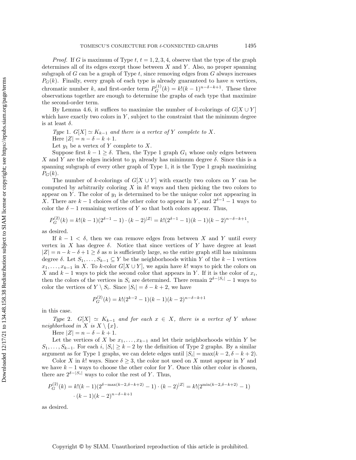*Proof.* If G is maximum of Type  $t, t = 1, 2, 3, 4$ , observe that the type of the graph determines all of its edges except those between  $X$  and  $Y$ . Also, no proper spanning subgraph of  $G$  can be a graph of Type  $t$ , since removing edges from  $G$  always increases  $P_G(k)$ . Finally, every graph of each type is already guaranteed to have n vertices, chromatic number k, and first-order term  $P_G^{(1)}(k) = k!(k-1)^{n-\delta - k+1}$ . These three observations together are enough to determine the graphs of each type that maximize the second-order term.

By Lemma [4.6,](#page-17-2) it suffices to maximize the number of k-colorings of  $G[X \cup Y]$ which have exactly two colors in  $Y$ , subject to the constraint that the minimum degree is at least  $\delta$ .

Type 1.  $G[X] \simeq K_{k - 1}$  and there is a vertex of Y complete to X.

Here  $|Z| = n - \delta - k + 1$ .

Let  $y_1$  be a vertex of Y complete to X.

Suppose first  $k - 1 \geq \delta$ . Then, the Type 1 graph  $G_1$  whose only edges between X and Y are the edges incident to  $y_1$  already has minimum degree  $\delta$ . Since this is a spanning subgraph of every other graph of Type 1, it is the Type 1 graph maximizing  $P_G(k)$ .

The number of k-colorings of  $G[X \cup Y]$  with exactly two colors on Y can be computed by arbitrarily coloring  $X$  in  $k!$  ways and then picking the two colors to appear on Y. The color of  $y_1$  is determined to be the unique color not appearing in X. There are  $k - 1$  choices of the other color to appear in Y, and  $2^{\delta - 1} - 1$  ways to color the  $\delta - 1$  remaining vertices of Y so that both colors appear. Thus,

$$
P_G^{(2)}(k) = k!(k-1)(2^{\delta-1}-1)\cdot (k-2)^{|Z|} = k!(2^{\delta-1}-1)(k-1)(k-2)^{n-\delta-k+1},
$$

as desired.

If  $k - 1 < \delta$ , then we can remove edges from between X and Y until every vertex in X has degree  $\delta$ . Notice that since vertices of Y have degree at least  $|Z| = n - k - \delta + 1 \geq \delta$  as n is sufficiently large, so the entire graph still has minimum degree  $\delta$ . Let  $S_1, \ldots, S_{k-1} \subseteq Y$  be the neighborhoods within Y of the  $k - 1$  vertices  $x_1, \ldots, x_{k-1}$  in X. To k-color  $G[X \cup Y]$ , we again have k! ways to pick the colors on X and  $k-1$  ways to pick the second color that appears in Y. If it is the color of  $x_i$ , then the colors of the vertices in  $S_i$  are determined. There remain  $2^{\delta - |S_i|} - 1$  ways to color the vertices of  $Y \setminus S_i$ . Since  $|S_i| = \delta - k + 2$ , we have

$$
P_G^{(2)}(k) = k! (2^{k-2} - 1)(k-1)(k-2)^{n-\delta-k+1}
$$

in this case.

Type 2.  $G[X] \simeq K_{k - 1}$  and for each  $x \in X$ , there is a vertex of Y whose neighborhood in X is  $X \setminus \{ x\}.$ 

Here  $|Z| = n - \delta - k + 1$ .

Let the vertices of X be  $x_1, \ldots, x_{k-1}$  and let their neighborhoods within Y be  $S_1, \ldots, S_{k-1}$ . For each  $i, |S_i| \geq k - 2$  by the definition of Type 2 graphs. By a similar argument as for Type 1 graphs, we can delete edges until  $|S_i| = \max(k - 2, \delta - k + 2)$ .

Color X in k! ways. Since  $\delta \geq 3$ , the color not used on X must appear in Y and we have  $k-1$  ways to choose the other color for Y. Once this other color is chosen, there are  $2^{\delta - |S_i|}$  ways to color the rest of Y. Thus,

$$
P_G^{(2)}(k) = k!(k-1)(2^{\delta - \max(k-2,\delta-k+2)} - 1) \cdot (k-2)^{|Z|} = k!(2^{\min(k-2,\delta-k+2)} - 1) \cdot (k-1)(k-2)^{n-\delta-k+1}
$$

as desired.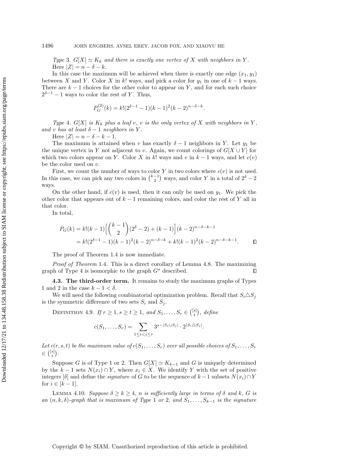Type 3.  $G[X] \simeq K_k$  and there is exactly one vertex of X with neighbors in Y. Here  $|Z| = n - \delta - k$ .

In this case the maximum will be achieved when there is exactly one edge  $(x_1, y_1)$ between X and Y. Color X in k! ways, and pick a color for  $y_1$  in one of  $k-1$  ways. There are  $k-1$  choices for the other color to appear on Y, and for each such choice  $2^{\delta - 1} - 1$  ways to color the rest of Y. Thus,

$$
P_G^{(2)}(k) = k! (2^{\delta - 1} - 1)(k - 1)^2 (k - 2)^{n - \delta - k}.
$$

Type 4.  $G[X]$  is  $K_k$  plus a leaf v, v is the only vertex of X with neighbors in Y, and v has at least  $\delta - 1$  neighbors in Y.

Here  $|Z| = n - \delta - k - 1$ .

The maximum is attained when v has exactly  $\delta - 1$  neighbors in Y. Let  $y_1$  be the unique vertex in Y not adjacent to v. Again, we count colorings of  $G[X \cup Y ]$  for which two colors appear on Y. Color X in k! ways and v in  $k-1$  ways, and let  $c(v)$ be the color used on  $v$ .

First, we count the number of ways to color Y in two colors where  $c(v)$  is not used. In this case, we can pick any two colors in  $\binom{k-1}{2}$  ways, and color Y in a total of  $2^{\delta} - 2$ ways.

On the other hand, if  $c(v)$  is used, then it can only be used on  $y_1$ . We pick the other color that appears out of  $k-1$  remaining colors, and color the rest of Y all in that color.

In total,

$$
P_G(k) = k!(k-1)\left[\binom{k-1}{2}(2^{\delta}-2) + (k-1)\right](k-2)^{n-\delta-k-1}
$$
  
=  $k!(2^{\delta-1}-1)(k-1)^2(k-2)^{n-\delta-k} + k!(k-1)^2(k-2)^{n-\delta-k-1}.$ 

The proof of Theorem [1.4](#page-2-1) is now immediate.

Proof of Theorem [1.4](#page-2-1). This is a direct corollary of Lemma [4.8.](#page-17-0) The maximizing graph of Type 4 is isomorphic to the graph  $G^*$  described.  $\Box$ 

4.3. The third-order term. It remains to study the maximum graphs of Types 1 and 2 in the case  $k - 1 < \delta$ .

We will need the following combinatorial optimization problem. Recall that  $S_i\Delta S_j$ is the symmetric difference of two sets  $S_i$  and  $S_j$ .

DEFINITION 4.9. If  $r \geq 1, s \geq t \geq 1,$  and  $S_1, \ldots, S_r \in \binom{[s]}{t},$  define

$$
c(S_1,\ldots,S_r)=\sum_{1\leq i
$$

Let  $c(r, s, t)$  be the maximum value of  $c(S_1, \ldots, S_r)$  over all possible choices of  $S_1, \ldots, S_r$  $\in \binom{[s]}{t}.$ 

Suppose G is of Type 1 or 2. Then  $G[X] \simeq K_{k - 1}$  and G is uniquely determined by the  $k - 1$  sets  $N(x_i) \cap Y$ , where  $x_i \in X$ . We identify Y with the set of positive integers  $\delta$  and define the *signature* of G to be the sequence of  $k - 1$  subsets  $N(x_i) \cap Y$ for  $i \in [k - 1]$ .

<span id="page-19-0"></span>LEMMA 4.10. Suppose  $\delta \geq k \geq 4$ , n is sufficiently large in terms of  $\delta$  and k, G is an  $(n, k, \delta)$ -graph that is maximum of Type 1 or 2, and  $S_1, \ldots, S_{k-1}$  is the signature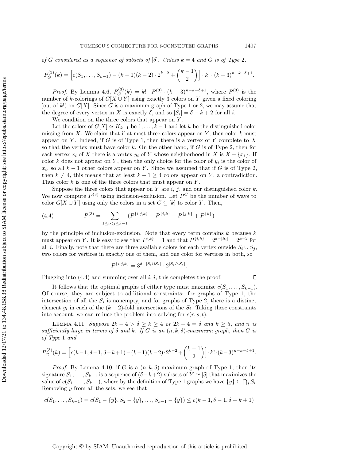of G considered as a sequence of subsets of  $\delta$ . Unless  $k = 4$  and G is of Type 2,

$$
P_G^{(3)}(k) = \left[c(S_1, \ldots, S_{k-1}) - (k-1)(k-2) \cdot 2^{k-2} + {k-1 \choose 2}\right] \cdot k! \cdot (k-3)^{n-k-\delta+1}.
$$

*Proof.* By Lemma [4.6,](#page-17-2)  $P_G^{(3)}(k) = k! \cdot P^{(3)} \cdot (k - 3)^{n-k-\delta+1}$ , where  $P^{(3)}$  is the number of k-colorings of  $G[X \cup Y]$  using exactly 3 colors on Y given a fixed coloring (out of k!) on  $G[X]$ . Since G is a maximum graph of Type 1 or 2, we may assume that the degree of every vertex in X is exactly  $\delta$ , and so  $|S_i| = \delta - k + 2$  for all i.

We condition on the three colors that appear on Y.

Let the colors of  $G[X] \simeq K_{k-1}$  be  $1, \ldots, k-1$  and let k be the distinguished color missing from  $X$ . We claim that if at most three colors appear on  $Y$ , then color  $k$  must appear on Y. Indeed, if G is of Type 1, then there is a vertex of Y complete to X so that the vertex must have color  $k$ . On the other hand, if  $G$  is of Type 2, then for each vertex  $x_i$  of X there is a vertex  $y_i$  of Y whose neighborhood in X is  $X - \{ x_i \}$ . If color k does not appear on Y, then the only choice for the color of  $y_i$  is the color of  $x_i$ , so all  $k-1$  other colors appear on Y. Since we assumed that if G is of Type 2, then  $k \neq 4$ , this means that at least  $k - 1 \geq 4$  colors appear on Y, a contradiction. Thus color  $k$  is one of the three colors that must appear on  $Y$ .

Suppose the three colors that appear on Y are  $i, j$ , and our distinguished color  $k$ . We now compute  $P^{(3)}$  using inclusion-exclusion. Let  $P^C$  be the number of ways to color  $G[X \cup Y ]$  using only the colors in a set  $C \subseteq [k]$  to color Y. Then,

<span id="page-20-0"></span>(4.4) 
$$
P^{(3)} = \sum_{1 \le i < j \le k-1} (P^{\{i,j,k\}} - P^{\{i,k\}} - P^{\{j,k\}} + P^{\{k\}})
$$

by the principle of inclusion-exclusion. Note that every term contains  $k$  because  $k$ must appear on Y. It is easy to see that  $P^{\{k\}} = 1$  and that  $P^{\{i,k\}} = 2^{\delta - |S_i|} = 2^{k-2}$  for all i. Finally, note that there are three available colors for each vertex outside  $S_i \cup S_j$ , two colors for vertices in exactly one of them, and one color for vertices in both, so

$$
P^{\{i,j,k\}} = 3^{\delta - |S_i \cup S_j|} \cdot 2^{|S_i \triangle S_j|}.
$$

Plugging into  $(4.4)$  and summing over all  $i, j$ , this completes the proof.

It follows that the optimal graphs of either type must maximize  $c(S_1, \ldots, S_{k-1})$ . Of course, they are subject to additional constraints: for graphs of Type 1, the intersection of all the  $S_i$  is nonempty, and for graphs of Type 2, there is a distinct element  $y_i$  in each of the  $(k-2)$ -fold intersections of the  $S_i$ . Taking these constraints into account, we can reduce the problem into solving for  $c(r, s, t)$ .

LEMMA 4.11. Suppose  $2k - 4 > \delta \geq k \geq 4$  or  $2k - 4 = \delta$  and  $k \geq 5$ , and n is sufficiently large in terms of  $\delta$  and k. If G is an  $(n, k, \delta)$ -maximum graph, then G is of Type 1 and

$$
P_G^{(3)}(k) = \left[c(k-1, \delta-1, \delta-k+1) - (k-1)(k-2) \cdot 2^{k-2} + {k-1 \choose 2}\right] \cdot k! \cdot (k-3)^{n-k-\delta+1}.
$$

*Proof.* By Lemma [4.10,](#page-19-0) if G is a  $(n, k, \delta)$ -maximum graph of Type 1, then its signature  $S_1, \ldots, S_{k-1}$  is a sequence of  $(\delta - k+2)$ -subsets of  $Y \simeq [\delta]$  that maximizes the value of  $c(S_1, \ldots, S_{k-1})$ , where by the definition of Type 1 graphs we have  $\{ y\} \subseteq \bigcap_i S_i$ . Removing y from all the sets, we see that

$$
c(S_1, \ldots, S_{k-1}) = c(S_1 - \{y\}, S_2 - \{y\}, \ldots, S_{k-1} - \{y\}) \le c(k-1, \delta - 1, \delta - k + 1)
$$

#### Copyright © by SIAM. Unauthorized reproduction of this article is prohibited.

 $\Box$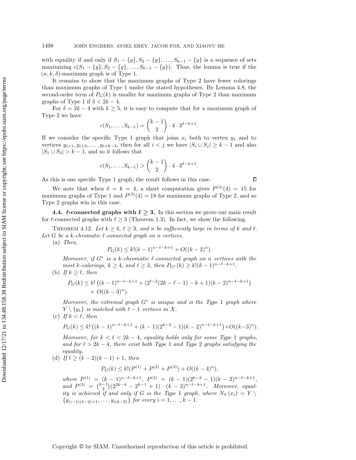with equality if and only if  $S_1 - \{ y\} , S_2 - \{ y\} , \ldots, S_{k-1} - \{ y\}$  is a sequence of sets maximizing  $c(S_1 - \{ y\} , S_2 - \{ y\} , \ldots , S_{k-1} - \{ y\} )$ . Thus, the lemma is true if the  $(n, k, \delta)$ -maximum graph is of Type 1.

It remains to show that the maximum graphs of Type 2 have fewer colorings than maximum graphs of Type 1 under the stated hypotheses. By Lemma [4.8,](#page-17-0) the second-order term of  $P_G(k)$  is smaller for maximum graphs of Type 2 than maximum graphs of Type 1 if  $\delta < 2k - 4$ .

For  $\delta = 2k - 4$  with  $k \geq 5$ , it is easy to compute that for a maximum graph of Type 2 we have

$$
c(S_1, ..., S_{k-1}) = {k-1 \choose 2} \cdot 4 \cdot 3^{\delta - k + 1}.
$$

If we consider the specific Type 1 graph that joins  $x_i$  both to vertex  $y_1$  and to vertices  $y_{i+1}, y_{i+2}, \ldots, y_{i+k-3}$ , then for all  $i < j$  we have  $|S_i \cup S_j| \geq k - 1$  and also  $|S_1 \cup S_3| > k - 1$ , and so it follows that

$$
c(S_1,...,S_{k-1}) > {k-1 \choose 2} \cdot 4 \cdot 3^{\delta-k+1}.
$$

As this is one specific Type 1 graph, the result follows in this case.

We note that when  $\delta = k = 4$ , a short computation gives  $P^{(3)}(4) = 15$  for maximum graphs of Type 1 and  $P^{(3)}(4) = 18$  for maximum graphs of Type 2, and so Type 2 graphs win in this case.

<span id="page-21-1"></span>4.4. L-connected graphs with  $\ell \geq 3$ . In this section we prove our main result for  $\ell$ -connected graphs with  $\ell \geq 3$  (Theorem [1.3\)](#page-2-2). In fact, we show the following.

<span id="page-21-0"></span>THEOREM 4.12. Let  $k \geq 4$ ,  $\ell \geq 3$ , and n be sufficiently large in terms of k and  $\ell$ . Let G be a k-chromatic  $\ell$ -connected graph on n vertices.

(a) Then,

$$
P_G(k) \le k!(k-1)^{n-\ell-k+1} + O((k-2)^n).
$$

Moreover, if  $G^*$  is a k-chromatic  $\ell$ -connected graph on n vertices with the most k-colorings,  $k \geq 4$ , and  $\ell \geq 3$ , then  $P_{G^*}(k) \geq k!(k - 1)^{n - \ell - k + 1}$ .

(b) If  $k \geq \ell$ , then

$$
P_G(k) \le k! \left( (k-1)^{n-\ell-k+1} + (2^{\ell-2}(2k-\ell-1) - k+1)(k-2)^{n-\ell-k+1} \right) + O((k-3)^n).
$$

Moreover, the extremal graph  $G^*$  is unique and is the Type 1 graph where  $Y \setminus \{ y_1\}$  is matched with  $\ell - 1$  vertices in X.

(c) If  $k < \ell$ , then

$$
P_G(k) \le k! \left( (k-1)^{n-\ell-k+1} + (k-1)(2^{k-2}-1)(k-2)^{n-\ell-k+1} \right) + O((k-3)^n).
$$

Moreover, for  $k < \ell < 2k - 4$ , equality holds only for some Type 1 graphs, and for  $\ell > 2k - 4$ , there exist both Type 1 and Type 2 graphs satisfying the equality.

(d) If  $\ell \geq (k - 2)(k - 1) + 1$ , then

$$
P_G(k) \le k! (P^{(1)} + P^{(2)} + P^{(3)}) + O((k-4)^n),
$$

where  $P^{(1)} = (k-1)^{n-\ell-k+1}$ ,  $P^{(2)} = (k-1)(2^{k-2}-1)(k-2)^{n-\ell-k+1}$ , and  $P^{(3)} = {k-1 \choose 2} (2^{2k-4} - 2^{k-1} + 1) \cdot (k-3)^{n-\ell-k+1}$ . Moreover, equality is achieved if and only if G is the Type 1 graph, where  $N_Y(x_i) = Y \setminus$  $\{ y_{(i-1)(k-2)+1}, \ldots, y_{i(k-2)}\}$  for every  $i = 1, \ldots, k - 1$ .

 $\Box$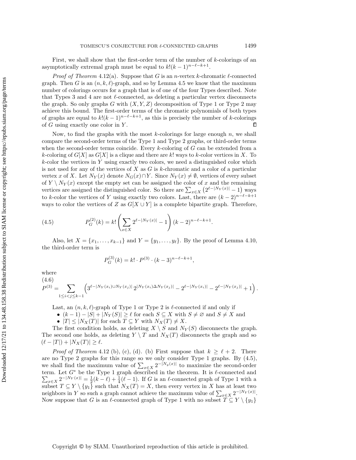First, we shall show that the first-order term of the number of  $k$ -colorings of an asymptotically extremal graph must be equal to  $k!(k-1)^{n-\ell - k+1}$ .

*Proof of Theorem [4.12\(](#page-21-0)a).* Suppose that G is an *n*-vertex k-chromatic  $\ell$ -connected graph. Then G is an  $(n, k, \ell)$ -graph, and so by Lemma [4.5](#page-12-1) we know that the maximum number of colorings occurs for a graph that is of one of the four Types described. Note that Types 3 and 4 are not  $\ell$ -connected, as deleting a particular vertex disconnects the graph. So only graphs G with  $(X, Y, Z)$  decomposition of Type 1 or Type 2 may achieve this bound. The first-order terms of the chromatic polynomials of both types of graphs are equal to  $k!(k-1)^{n-\ell - k+1}$ , as this is precisely the number of k-colorings of  $G$  using exactly one color in  $Y$ .  $\Box$ 

Now, to find the graphs with the most  $k$ -colorings for large enough  $n$ , we shall compare the second-order terms of the Type 1 and Type 2 graphs, or third-order terms when the second-order terms coincide. Every  $k$ -coloring of  $G$  can be extended from a k-coloring of  $G[X]$  as  $G[X]$  is a clique and there are k! ways to k-color vertices in X. To  $k$ -color the vertices in Y using exactly two colors, we need a distinguished color which is not used for any of the vertices of  $X$  as  $G$  is  $k$ -chromatic and a color of a particular vertex x of X. Let  $N_Y(x)$  denote  $N_G(x) \cap Y$ . Since  $N_Y(x) \neq \emptyset$ , vertices of every subset of  $Y \setminus N_Y (x)$  except the empty set can be assigned the color of x and the remaining vertices are assigned the distinguished color. So there are  $\sum_{x \in X} (2^{\ell - |N_Y(x)|} - 1)$  ways to k-color the vertices of Y using exactly two colors. Last, there are  $(k - 2)^{n-\ell - k+1}$ ways to color the vertices of Z as  $G[X \cup Y ]$  is a complete bipartite graph. Therefore,

<span id="page-22-0"></span>(4.5) 
$$
P_G^{(2)}(k) = k! \left( \sum_{x \in X} 2^{\ell - |N_Y(x)|} - 1 \right) (k - 2)^{n - \ell - k + 1}.
$$

Also, let  $X = \{ x_1, \ldots, x_{k-1} \}$  and  $Y = \{ y_1, \ldots, y_\ell \}$ . By the proof of Lemma [4.10,](#page-19-0) the third-order term is

$$
P_G^{(3)}(k) = k! \cdot P^{(3)} \cdot (k-3)^{n-\ell-k+1},
$$

where

<span id="page-22-1"></span>
$$
(4.6)
$$
  

$$
P^{(3)} = \sum_{1 \leq i < j \leq k-1} \left( 3^{\ell - |N_Y(x_i) \cup N_Y(x_j)|} 2^{|N_Y(x_i) \Delta N_Y(x_j)|} - 2^{\ell - |N_Y(x_i)|} - 2^{\ell - |N_Y(x_j)|} + 1 \right).
$$

Last, an  $(n, k, \ell)$ -graph of Type 1 or Type 2 is  $\ell$ -connected if and only if

• 
$$
(k-1) - |S| + |N_Y(S)| \ge \ell
$$
 for each  $S \subseteq X$  with  $S \ne \emptyset$  and  $S \ne X$  and

 $\bullet$   $| T | \leq | N_X(T) |$  for each  $T \subseteq Y$  with  $N_X(T) \neq X$ .

The first condition holds, as deleting  $X \setminus S$  and  $N_Y (S)$  disconnects the graph. The second one holds, as deleting  $Y \setminus T$  and  $N_X(T)$  disconnects the graph and so  $(\ell - |T| ) + | N_X(T)| \geq \ell .$ 

*Proof of Theorem [4.12](#page-21-0) (b), (c), (d). (b)* First suppose that  $k \geq \ell + 2$ . There are no Type 2 graphs for this range so we only consider Type 1 graphs. By [\(4.5\)](#page-22-0), we shall find the maximum value of  $\sum_{x \in X} 2^{-|N_y(x)|}$  to maximize the second-order term. Let  $G^*$  be the Type 1 graph described in the theorem. It is  $\ell$ -connected and  $\sum_{x \in X} 2^{-|N_Y(x)|} = \frac{1}{2}(k-\ell) + \frac{1}{4}(\ell-1)$ . If G is an  $\ell$ -connected graph of Type 1 with a subset  $T \subseteq Y \setminus \{ y_1\}$  such that  $N_X(T) = X$ , then every vertex in X has at least two neighbors in Y so such a graph cannot achieve the maximum value of  $\sum_{x \in X} 2^{-|N_Y(x)|}$ . Now suppose that G is an  $\ell$ -connected graph of Type 1 with no subset  $T \subseteq Y \setminus \{ y_1\}$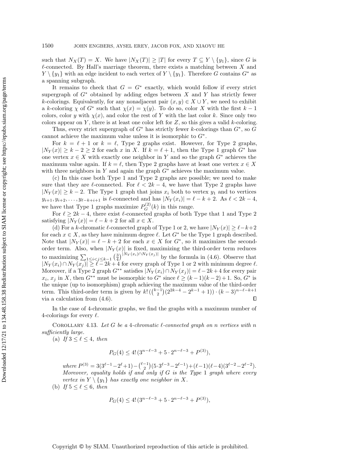such that  $N_X(T) = X$ . We have  $|N_X(T)| \geq |T|$  for every  $T \subseteq Y \setminus \{ y_1\}$ , since G is  $\ell$ -connected. By Hall's marriage theorem, there exists a matching between X and  $Y \setminus \{ y_1\}$  with an edge incident to each vertex of  $Y \setminus \{ y_1\}$ . Therefore G contains  $G^*$  as a spanning subgraph.

It remains to check that  $G = G^*$  exactly, which would follow if every strict supergraph of  $G^*$  obtained by adding edges between X and Y has strictly fewer k-colorings. Equivalently, for any nonadjacent pair  $(x, y) \in X \cup Y$ , we need to exhibit a k-coloring  $\chi$  of  $G^*$  such that  $\chi(x) = \chi(y)$ . To do so, color X with the first  $k - 1$ colors, color y with  $\chi(x)$ , and color the rest of Y with the last color k. Since only two colors appear on Y, there is at least one color left for  $Z$ , so this gives a valid k-coloring.

Thus, every strict supergraph of  $G^*$  has strictly fewer k-colorings than  $G^*$ , so G cannot achieve the maximum value unless it is isomorphic to  $G^*$ .

For  $k = \ell + 1$  or  $k = \ell$ , Type 2 graphs exist. However, for Type 2 graphs,  $|N_Y(x)| \geq k - 2 \geq 2$  for each x in X. If  $k = \ell + 1$ , then the Type 1 graph  $G^*$  has one vertex  $x \in X$  with exactly one neighbor in Y and so the graph  $G^*$  achieves the maximum value again. If  $k = \ell$ , then Type 2 graphs have at least one vertex  $x \in X$ with three neighbors in Y and again the graph  $G^*$  achieves the maximum value.

(c) In this case both Type 1 and Type 2 graphs are possible; we need to make sure that they are  $\ell$ -connected. For  $\ell < 2k - 4$ , we have that Type 2 graphs have  $|N_Y(x)| \geq k - 2$ . The Type 1 graph that joins  $x_i$  both to vertex  $y_1$  and to vertices  $y_{i+1}, y_{i+2}, \ldots, y_{\ell-k+i+1}$  is  $\ell$ -connected and has  $|N_Y (x_i)| = \ell - k + 2$ . As  $\ell < 2k - 4$ , we have that Type 1 graphs maximize  $P_G^{(2)}(k)$  in this range.

For  $\ell \geq 2k - 4$ , there exist  $\ell$ -connected graphs of both Type that 1 and Type 2 satisfying  $|N_Y(x)| = \ell - k + 2$  for all  $x \in X$ .

(d) For a k-chromatic  $\ell$ -connected graph of Type 1 or 2, we have  $| N_Y (x) | \geq \ell - k+2$ for each  $x \in X$ , as they have minimum degree  $\ell$ . Let  $G^*$  be the Type 1 graph described. Note that  $|N_Y(x)| = \ell - k + 2$  for each  $x \in X$  for  $G^*$ , so it maximizes the secondorder term. Also, when  $|N_Y(x)|$  is fixed, maximizing the third-order term reduces to maximizing  $\sum_{1 \leq i < j \leq k - 1} \left( \frac{3}{4} \right)^{|N_Y(x_i) \cap N_Y(x_j)|}$  by the formula in [\(4.6\)](#page-22-1). Observe that  $|N_Y (x_i) \cap N_Y (x_j)| \geq \ell - 2k + 4$  for every graph of Type 1 or 2 with minimum degree  $\ell$ . Moreover, if a Type 2 graph  $G^{**}$  satisfies  $| N_Y (x_i) \cap N_Y (x_j ) | = \ell - 2k + 4$  for every pair  $x_i, x_j$  in X, then  $G^{**}$  must be isomorphic to  $G^*$  since  $\ell \geq (k - 1)(k - 2) + 1$ . So,  $G^*$  is the unique (up to isomorphism) graph achieving the maximum value of the third-order term. This third-order term is given by  $k! \binom{k-1}{2} (2^{2k-4} - 2^{k-1} + 1) \cdot (k-3)^{n-\ell-k+1}$ via a calculation from [\(4.6\)](#page-22-1). п

In the case of 4-chromatic graphs, we find the graphs with a maximum number of 4-colorings for every  $\ell$ .

COROLLARY 4.13. Let G be a 4-chromatic  $\ell$ -connected graph on n vertices with n sufficiently large.

(a) If  $3 \leq \ell \leq 4$ , then

$$
P_G(4) \le 4! \, (3^{n-\ell-3} + 5 \cdot 2^{n-\ell-3} + P^{(3)}),
$$

 $where P^{(3)} = 3(3^{\ell-1} - 2^{\ell} + 1) - {\ell-1 \choose 2}(5 \cdot 3^{\ell-3} - 2^{\ell-1}) + (\ell-1)(\ell-4)(3^{\ell-2} - 2^{\ell-2}).$ Moreover, equality holds if and only if  $G$  is the Type 1 graph where every vertex in  $Y \setminus \{ y_1\}$  has exactly one neighbor in X.

(b) If  $5 \leq \ell \leq 6$ , then

$$
P_G(4) \le 4! \left( 3^{n-\ell-3} + 5 \cdot 2^{n-\ell-3} + P^{(3)} \right),
$$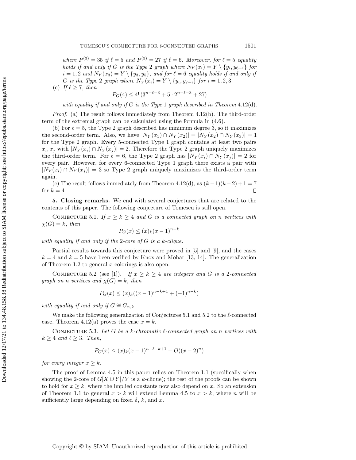where  $P^{(3)} = 35$  if  $\ell = 5$  and  $P^{(3)} = 27$  if  $\ell = 6$ . Moreover, for  $\ell = 5$  equality holds if and only if G is the Type 2 graph where  $N_Y(x_i) = Y \setminus \{ y_i, y_{6-i} \}$  for  $i = 1, 2$  and  $N_Y(x_3) = Y \setminus \{ y_3, y_5\}$ , and for  $\ell = 6$  equality holds if and only if G is the Type 2 graph where  $N_Y(x_i) = Y \setminus \{ y_i, y_{7-i} \}$  for  $i = 1, 2, 3$ . (c) If  $\ell \geq 7$ , then

 $P_G(4) \leq 4! \left( 3^{n - \ell - 3} + 5 \cdot 2^{n - \ell - 3} + 27 \right)$ 

with equality if and only if  $G$  is the Type 1 graph described in Theorem [4.12\(](#page-21-0)d).

Proof. (a) The result follows immediately from Theorem [4.12\(](#page-21-0)b). The third-order term of the extremal graph can be calculated using the formula in [\(4.6\)](#page-22-1).

(b) For  $\ell = 5$ , the Type 2 graph described has minimum degree 3, so it maximizes the second-order term. Also, we have  $|N_Y(x_1) \cap N_Y (x_2)| = |N_Y (x_2) \cap N_Y (x_3)| = 1$ for the Type 2 graph. Every 5-connected Type 1 graph contains at least two pairs  $x_i, x_j$  with  $|N_Y(x_i) \cap N_Y(x_j)| = 2$ . Therefore the Type 2 graph uniquely maximizes the third-order term. For  $\ell = 6$ , the Type 2 graph has  $|N_Y (x_i) \cap N_Y (x_j)| = 2$  for every pair. However, for every 6-connected Type 1 graph there exists a pair with  $|N_Y (x_i) \cap N_Y (x_j)| = 3$  so Type 2 graph uniquely maximizes the third-order term again.

(c) The result follows immediately from Theorem [4.12\(](#page-21-0)d), as  $(k-1)(k-2)+1=7$ for  $k = 4$ .  $\Box$ 

5. Closing remarks. We end with several conjectures that are related to the contents of this paper. The following conjecture of Tomescu is still open.

<span id="page-24-0"></span>CONJECTURE 5.1. If  $x \geq k \geq 4$  and G is a connected graph on n vertices with  $\chi (G) = k$ , then

$$
P_G(x) \le (x)_k (x-1)^{n-k}
$$

with equality if and only if the 2-core of  $G$  is a k-clique.

Partial results towards this conjecture were proved in [\[5\]](#page-25-19) and [\[9\]](#page-25-20), and the cases  $k = 4$  and  $k = 5$  have been verified by Knox and Mohar [\[13,](#page-25-21) [14\]](#page-25-22). The generalization of Theorem [1.2](#page-2-0) to general x-colorings is also open.

<span id="page-24-1"></span>CONJECTURE 5.2 (see [\[1\]](#page-25-23)). If  $x \geq k \geq 4$  are integers and G is a 2-connected graph on n vertices and  $\chi (G) = k$ , then

$$
P_G(x) \le (x)_k((x-1)^{n-k+1} + (-1)^{n-k})
$$

with equality if and only if  $G \cong G_{n,k}$ .

We make the following generalization of Conjectures [5.1](#page-24-0) and [5.2](#page-24-1) to the  $\ell$ -connected case. Theorem [4.12\(](#page-21-0)a) proves the case  $x = k$ .

CONJECTURE 5.3. Let G be a k-chromatic  $\ell$ -connected graph on n vertices with  $k \geq 4$  and  $\ell \geq 3$ . Then,

$$
P_G(x) \le (x)_k (x-1)^{n-\ell-k+1} + O((x-2)^n)
$$

for every integer  $x \geq k$ .

The proof of Lemma [4.5](#page-12-1) in this paper relies on Theorem [1.1](#page-1-0) (specifically when showing the 2-core of  $G[X \cup Y]/Y$  is a k-clique); the rest of the proofs can be shown to hold for  $x \geq k$ , where the implied constants now also depend on x. So an extension of Theorem [1.1](#page-1-0) to general  $x > k$  will extend Lemma [4.5](#page-12-1) to  $x > k$ , where n will be sufficiently large depending on fixed  $\delta$ , k, and x.